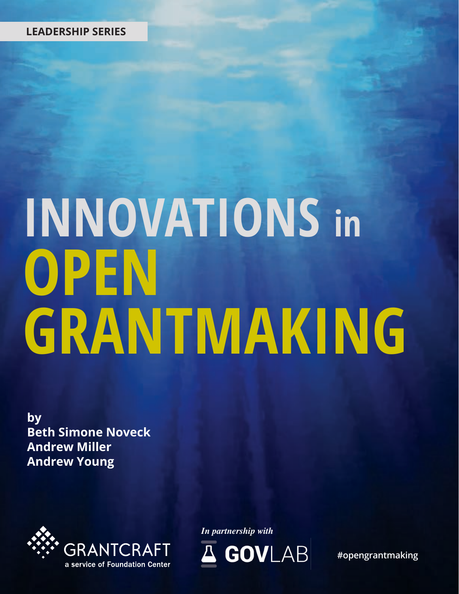### **LEADERSHIP SERIES**

# **INNOVATIONS in**<br>OPEN **GRANTMAKING**

**by Beth Simone Noveck Andrew Miller Andrew Young**



*In partnership with*



**#opengrantmaking**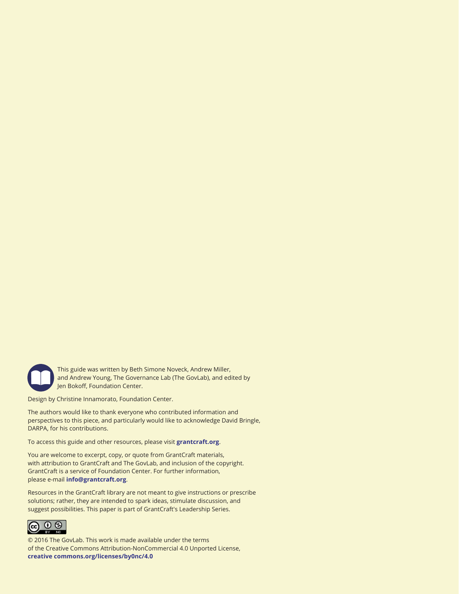

This guide was written by Beth Simone Noveck, Andrew Miller, and Andrew Young, The Governance Lab (The GovLab), and edited by Jen Bokoff, Foundation Center.

Design by Christine Innamorato, Foundation Center.

The authors would like to thank everyone who contributed information and perspectives to this piece, and particularly would like to acknowledge David Bringle, DARPA, for his contributions.

To access this guide and other resources, please visit **grantcraft.org**.

You are welcome to excerpt, copy, or quote from GrantCraft materials, with attribution to GrantCraft and The GovLab, and inclusion of the copyright. GrantCraft is a service of Foundation Center. For further information, please e-mail **info@grantcraft.org**.

Resources in the GrantCraft library are not meant to give instructions or prescribe solutions; rather, they are intended to spark ideas, stimulate discussion, and suggest possibilities. This paper is part of GrantCraft's Leadership Series.



© 2016 The GovLab. This work is made available under the terms of the Creative Commons Attribution-NonCommercial 4.0 Unported License, **creative commons.org/licenses/by0nc/4.0**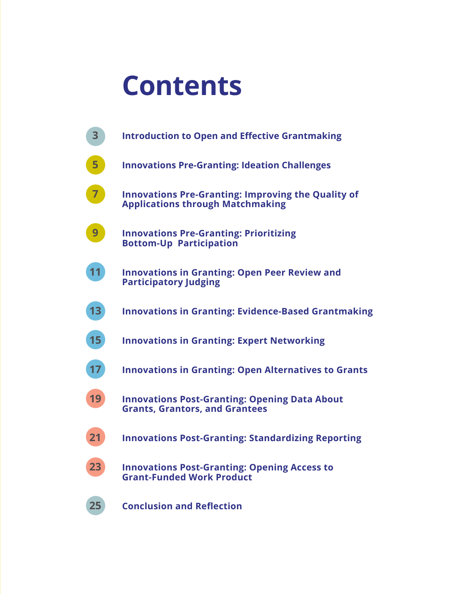# **Contents**

| 3  | <b>Introduction to Open and Effective Grantmaking</b>                                                |
|----|------------------------------------------------------------------------------------------------------|
| 5  | <b>Innovations Pre-Granting: Ideation Challenges</b>                                                 |
|    | <b>Innovations Pre-Granting: Improving the Quality of</b><br><b>Applications through Matchmaking</b> |
| 9  | <b>Innovations Pre-Granting: Prioritizing</b><br><b>Bottom-Up Participation</b>                      |
|    | <b>Innovations in Granting: Open Peer Review and</b><br><b>Participatory Judging</b>                 |
| 13 | <b>Innovations in Granting: Evidence-Based Grantmaking</b>                                           |
| 15 | <b>Innovations in Granting: Expert Networking</b>                                                    |
| 17 | <b>Innovations in Granting: Open Alternatives to Grants</b>                                          |
| 19 | <b>Innovations Post-Granting: Opening Data About</b><br><b>Grants, Grantors, and Grantees</b>        |
| 21 | <b>Innovations Post-Granting: Standardizing Reporting</b>                                            |
| 23 | <b>Innovations Post-Granting: Opening Access to</b><br><b>Grant-Funded Work Product</b>              |
| 25 | <b>Conclusion and Reflection</b>                                                                     |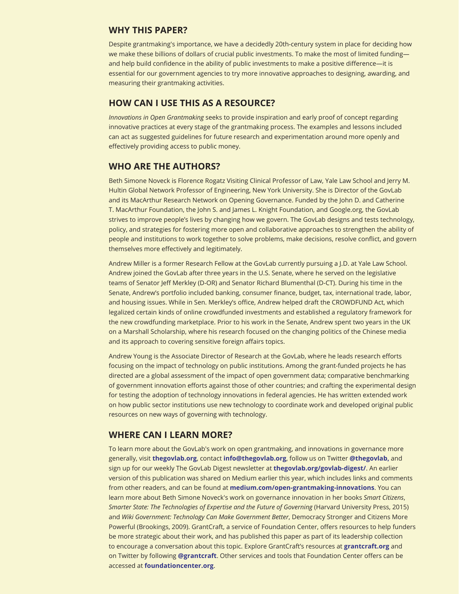#### **WHY THIS PAPER?**

Despite grantmaking's importance, we have a decidedly 20th-century system in place for deciding how we make these billions of dollars of crucial public investments. To make the most of limited fundingand help build confidence in the ability of public investments to make a positive difference—it is essential for our government agencies to try more innovative approaches to designing, awarding, and measuring their grantmaking activities.

#### **HOW CAN I USE THIS AS A RESOURCE?**

*Innovations in Open Grantmaking* seeks to provide inspiration and early proof of concept regarding innovative practices at every stage of the grantmaking process. The examples and lessons included can act as suggested guidelines for future research and experimentation around more openly and effectively providing access to public money.

#### **WHO ARE THE AUTHORS?**

Beth Simone Noveck is Florence Rogatz Visiting Clinical Professor of Law, Yale Law School and Jerry M. Hultin Global Network Professor of Engineering, New York University. She is Director of the GovLab and its MacArthur Research Network on Opening Governance. Funded by the John D. and Catherine T. MacArthur Foundation, the John S. and James L. Knight Foundation, and Google.org, the GovLab strives to improve people's lives by changing how we govern. The GovLab designs and tests technology, policy, and strategies for fostering more open and collaborative approaches to strengthen the ability of people and institutions to work together to solve problems, make decisions, resolve conflict, and govern themselves more effectively and legitimately.

Andrew Miller is a former Research Fellow at the GovLab currently pursuing a J.D. at Yale Law School. Andrew joined the GovLab after three years in the U.S. Senate, where he served on the legislative teams of Senator Jeff Merkley (D-OR) and Senator Richard Blumenthal (D-CT). During his time in the Senate, Andrew's portfolio included banking, consumer finance, budget, tax, international trade, labor, and housing issues. While in Sen. Merkley's office, Andrew helped draft the CROWDFUND Act, which legalized certain kinds of online crowdfunded investments and established a regulatory framework for the new crowdfunding marketplace. Prior to his work in the Senate, Andrew spent two years in the UK on a Marshall Scholarship, where his research focused on the changing politics of the Chinese media and its approach to covering sensitive foreign affairs topics.

Andrew Young is the Associate Director of Research at the GovLab, where he leads research efforts focusing on the impact of technology on public institutions. Among the grant-funded projects he has directed are a global assessment of the impact of open government data; comparative benchmarking of government innovation efforts against those of other countries; and crafting the experimental design for testing the adoption of technology innovations in federal agencies. He has written extended work on how public sector institutions use new technology to coordinate work and developed original public resources on new ways of governing with technology.

#### **WHERE CAN I LEARN MORE?**

**2 GRANTCRAFT, A SERVICE OF FOUNDATION CENTER** accessed at **foundationcenter.org**.To learn more about the GovLab's work on open grantmaking, and innovations in governance more generally, visit **[thegovlab.org](http://thegovlab.org)**, contact **[info@thegovlab.org](mailto:info%40thegovlab.org?subject=)**, follow us on Twitter **[@thegovlab,](https://twitter.com/thegovlab)** and sign up for our weekly The GovLab Digest newsletter at **[thegovlab.org/govlab-digest/](http://thegovlab.org/govlab-digest/)**. An earlier version of this publication was shared on Medium earlier this year, which includes links and comments from other readers, and can be found at **[medium.com/open-grantmaking-innovations](https://medium.com/open-grantmaking-innovations)**. You can learn more about Beth Simone Noveck's work on governance innovation in her books *Smart Citizens*, *Smarter State: The Technologies of Expertise and the Future of Governing* (Harvard University Press, 2015) and *Wiki Government: Technology Can Make Government Better*, Democracy Stronger and Citizens More Powerful (Brookings, 2009). GrantCraft, a service of Foundation Center, offers resources to help funders be more strategic about their work, and has published this paper as part of its leadership collection to encourage a conversation about this topic. Explore GrantCraft's resources at **grantcraft.org** and on Twitter by following **[@grantcraft](https://twitter.com/GrantCraft)**. Other services and tools that Foundation Center offers can be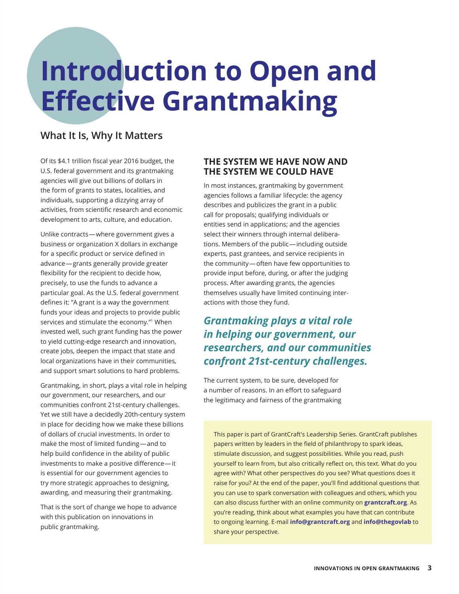# **Introduction to Open and Effective Grantmaking**

### **What It Is, Why It Matters**

Of its \$4.1 trillion fiscal year 2016 budget, the U.S. federal government and its grantmaking agencies will give out billions of dollars in the form of grants to states, localities, and individuals, supporting a dizzying array of activities, from scientific research and economic development to arts, culture, and education.

Unlike contracts — where government gives a business or organization X dollars in exchange for a specific product or service defined in advance — grants generally provide greater flexibility for the recipient to decide how, precisely, to use the funds to advance a particular goal. As the U.S. federal government defines it: "A grant is a way the government funds your ideas and projects to provide public services and stimulate the economy."<sup>1</sup> When invested well, such grant funding has the power to yield cutting-edge research and innovation, create jobs, deepen the impact that state and local organizations have in their communities, and support smart solutions to hard problems.

Grantmaking, in short, plays a vital role in helping our government, our researchers, and our communities confront 21st-century challenges. Yet we still have a decidedly 20th-century system in place for deciding how we make these billions of dollars of crucial investments. In order to make the most of limited funding — and to help build confidence in the ability of public investments to make a positive difference — it is essential for our government agencies to try more strategic approaches to designing, awarding, and measuring their grantmaking.

That is the sort of change we hope to advance with this publication on innovations in public grantmaking.

#### **THE SYSTEM WE HAVE NOW AND THE SYSTEM WE COULD HAVE**

In most instances, grantmaking by government agencies follows a familiar lifecycle: the agency describes and publicizes the grant in a public call for proposals; qualifying individuals or entities send in applications; and the agencies select their winners through internal deliberations. Members of the public — including outside experts, past grantees, and service recipients in the community — often have few opportunities to provide input before, during, or after the judging process. After awarding grants, the agencies themselves usually have limited continuing interactions with those they fund.

# *Grantmaking plays a vital role in helping our government, our researchers, and our communities confront 21st-century challenges.*

The current system, to be sure, developed for a number of reasons. In an effort to safeguard the legitimacy and fairness of the grantmaking

This paper is part of GrantCraft's Leadership Series. GrantCraft publishes papers written by leaders in the field of philanthropy to spark ideas, stimulate discussion, and suggest possibilities. While you read, push yourself to learn from, but also critically reflect on, this text. What do you agree with? What other perspectives do you see? What questions does it raise for you? At the end of the paper, you'll find additional questions that you can use to spark conversation with colleagues and others, which you can also discuss further with an online community on **[grantcraft.org](http://grantcraft.org)**. As you're reading, think about what examples you have that can contribute to ongoing learning. E-mail **[info@grantcraft.org](mailto:info%40grantcraft.org?subject=)** and **[info@thegovlab](mailto:info%40thegovlab?subject=)** to share your perspective.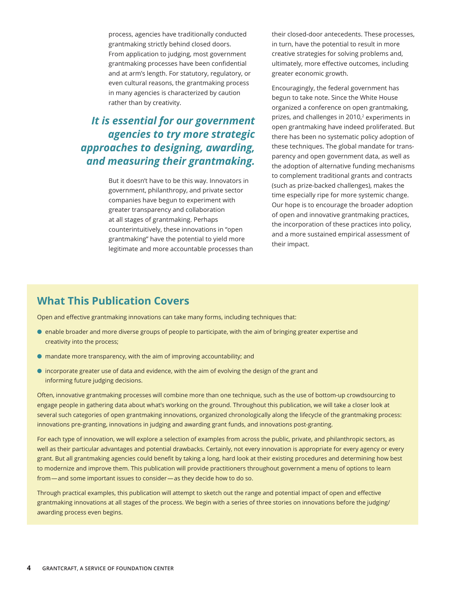process, agencies have traditionally conducted grantmaking strictly behind closed doors. From application to judging, most government grantmaking processes have been confidential and at arm's length. For statutory, regulatory, or even cultural reasons, the grantmaking process in many agencies is characterized by caution rather than by creativity.

# *It is essential for our government agencies to try more strategic approaches to designing, awarding, and measuring their grantmaking.*

But it doesn't have to be this way. Innovators in government, philanthropy, and private sector companies have begun to experiment with greater transparency and collaboration at all stages of grantmaking. Perhaps counterintuitively, these innovations in "open grantmaking" have the potential to yield more legitimate and more accountable processes than their closed-door antecedents. These processes, in turn, have the potential to result in more creative strategies for solving problems and, ultimately, more effective outcomes, including greater economic growth.

Encouragingly, the federal government has begun to take note. Since the White House organized a conference on open grantmaking, prizes, and challenges in 2010,<sup>2</sup> experiments in open grantmaking have indeed proliferated. But there has been no systematic policy adoption of these techniques. The global mandate for transparency and open government data, as well as the adoption of alternative funding mechanisms to complement traditional grants and contracts (such as prize-backed challenges), makes the time especially ripe for more systemic change. Our hope is to encourage the broader adoption of open and innovative grantmaking practices, the incorporation of these practices into policy, and a more sustained empirical assessment of their impact.

### **What This Publication Covers**

Open and effective grantmaking innovations can take many forms, including techniques that:

- l enable broader and more diverse groups of people to participate, with the aim of bringing greater expertise and creativity into the process;
- $\bullet$  mandate more transparency, with the aim of improving accountability; and
- l incorporate greater use of data and evidence, with the aim of evolving the design of the grant and informing future judging decisions.

Often, innovative grantmaking processes will combine more than one technique, such as the use of bottom-up crowdsourcing to engage people in gathering data about what's working on the ground. Throughout this publication, we will take a closer look at several such categories of open grantmaking innovations, organized chronologically along the lifecycle of the grantmaking process: innovations pre-granting, innovations in judging and awarding grant funds, and innovations post-granting.

For each type of innovation, we will explore a selection of examples from across the public, private, and philanthropic sectors, as well as their particular advantages and potential drawbacks. Certainly, not every innovation is appropriate for every agency or every grant. But all grantmaking agencies could benefit by taking a long, hard look at their existing procedures and determining how best to modernize and improve them. This publication will provide practitioners throughout government a menu of options to learn from—and some important issues to consider—as they decide how to do so.

Through practical examples, this publication will attempt to sketch out the range and potential impact of open and effective grantmaking innovations at all stages of the process. We begin with a series of three stories on innovations before the judging/ awarding process even begins.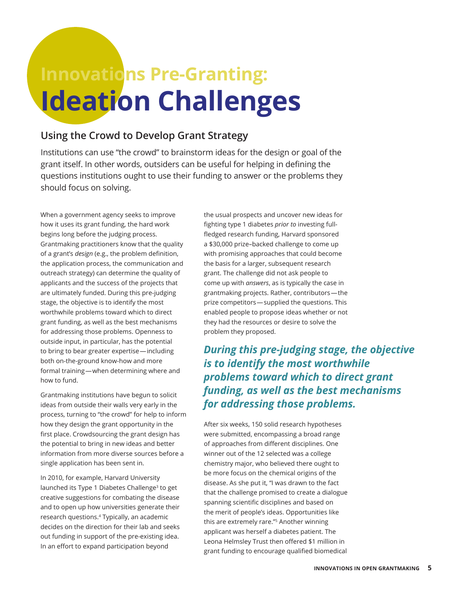# **Innovations Pre-Granting: Ideation Challenges**

## **Using the Crowd to Develop Grant Strategy**

Institutions can use "the crowd" to brainstorm ideas for the design or goal of the grant itself. In other words, outsiders can be useful for helping in defining the questions institutions ought to use their funding to answer or the problems they should focus on solving.

When a government agency seeks to improve how it uses its grant funding, the hard work begins long before the judging process. Grantmaking practitioners know that the quality of a grant's *design* (e.g., the problem definition, the application process, the communication and outreach strategy) can determine the quality of applicants and the success of the projects that are ultimately funded. During this pre-judging stage, the objective is to identify the most worthwhile problems toward which to direct grant funding, as well as the best mechanisms for addressing those problems. Openness to outside input, in particular, has the potential to bring to bear greater expertise — including both on-the-ground know-how and more formal training — when determining where and how to fund.

Grantmaking institutions have begun to solicit ideas from outside their walls very early in the process, turning to "the crowd" for help to inform how they design the grant opportunity in the first place. Crowdsourcing the grant design has the potential to bring in new ideas and better information from more diverse sources before a single application has been sent in.

In 2010, for example, Harvard University launched its Type 1 Diabetes Challenge<sup>3</sup> to get creative suggestions for combating the disease and to open up how universities generate their research questions.4 Typically, an academic decides on the direction for their lab and seeks out funding in support of the pre-existing idea. In an effort to expand participation beyond

the usual prospects and uncover new ideas for fighting type 1 diabetes *prior to* investing fullfledged research funding, Harvard sponsored a \$30,000 prize–backed challenge to come up with promising approaches that could become the basis for a larger, subsequent research grant. The challenge did not ask people to come up with *answers*, as is typically the case in grantmaking projects. Rather, contributors — the prize competitors — supplied the questions. This enabled people to propose ideas whether or not they had the resources or desire to solve the problem they proposed.

*During this pre-judging stage, the objective is to identify the most worthwhile problems toward which to direct grant funding, as well as the best mechanisms for addressing those problems.*

After six weeks, 150 solid research hypotheses were submitted, encompassing a broad range of approaches from different disciplines. One winner out of the 12 selected was a college chemistry major, who believed there ought to be more focus on the chemical origins of the disease. As she put it, "I was drawn to the fact that the challenge promised to create a dialogue spanning scientific disciplines and based on the merit of people's ideas. Opportunities like this are extremely rare."5 Another winning applicant was herself a diabetes patient. The Leona Helmsley Trust then offered \$1 million in grant funding to encourage qualified biomedical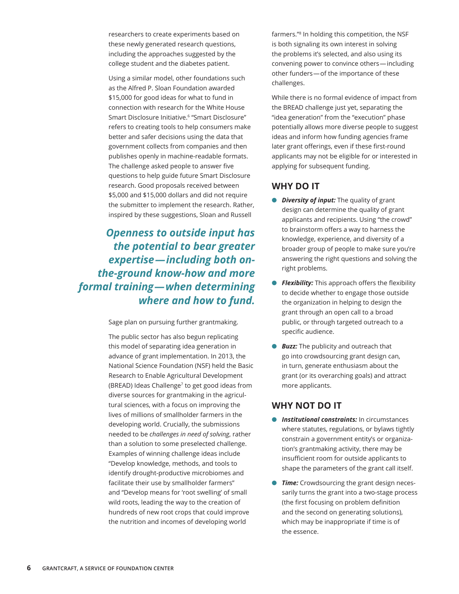researchers to create experiments based on these newly generated research questions, including the approaches suggested by the college student and the diabetes patient.

Using a similar model, other foundations such as the Alfred P. Sloan Foundation awarded \$15,000 for good ideas for what to fund in connection with research for the White House Smart Disclosure Initiative.<sup>6</sup> "Smart Disclosure" refers to creating tools to help consumers make better and safer decisions using the data that government collects from companies and then publishes openly in machine-readable formats. The challenge asked people to answer five questions to help guide future Smart Disclosure research. Good proposals received between \$5,000 and \$15,000 dollars and did not require the submitter to implement the research. Rather, inspired by these suggestions, Sloan and Russell

*Openness to outside input has the potential to bear greater expertise — including both onthe-ground know-how and more formal training — when determining where and how to fund.*

Sage plan on pursuing further grantmaking.

The public sector has also begun replicating this model of separating idea generation in advance of grant implementation. In 2013, the National Science Foundation (NSF) held the Basic Research to Enable Agricultural Development (BREAD) Ideas Challenge<sup>7</sup> to get good ideas from diverse sources for grantmaking in the agricultural sciences, with a focus on improving the lives of millions of smallholder farmers in the developing world. Crucially, the submissions needed to be *challenges in need of solving*, rather than a solution to some preselected challenge. Examples of winning challenge ideas include "Develop knowledge, methods, and tools to identify drought-productive microbiomes and facilitate their use by smallholder farmers" and "Develop means for 'root swelling' of small wild roots, leading the way to the creation of hundreds of new root crops that could improve the nutrition and incomes of developing world

farmers."<sup>8</sup> In holding this competition, the NSF is both signaling its own interest in solving the problems it's selected, and also using its convening power to convince others — including other funders — of the importance of these challenges.

While there is no formal evidence of impact from the BREAD challenge just yet, separating the "idea generation" from the "execution" phase potentially allows more diverse people to suggest ideas and inform how funding agencies frame later grant offerings, even if these first-round applicants may not be eligible for or interested in applying for subsequent funding.

### **WHY DO IT**

- *Diversity of input:* The quality of grant design can determine the quality of grant applicants and recipients. Using "the crowd" to brainstorm offers a way to harness the knowledge, experience, and diversity of a broader group of people to make sure you're answering the right questions and solving the right problems.
- *e Flexibility:* This approach offers the flexibility to decide whether to engage those outside the organization in helping to design the grant through an open call to a broad public, or through targeted outreach to a specific audience.
- *Buzz:* The publicity and outreach that go into crowdsourcing grant design can, in turn, generate enthusiasm about the grant (or its overarching goals) and attract more applicants.

- **.** *Institutional constraints:* In circumstances where statutes, regulations, or bylaws tightly constrain a government entity's or organization's grantmaking activity, there may be insufficient room for outside applicants to shape the parameters of the grant call itself.
- **Time:** Crowdsourcing the grant design necessarily turns the grant into a two-stage process (the first focusing on problem definition and the second on generating solutions), which may be inappropriate if time is of the essence.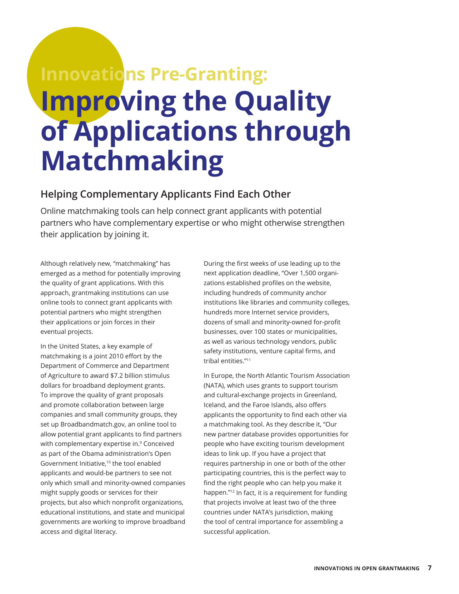# **Innovations Pre-Granting: Improving the Quality of Applications through Matchmaking**

## **Helping Complementary Applicants Find Each Other**

Online matchmaking tools can help connect grant applicants with potential partners who have complementary expertise or who might otherwise strengthen their application by joining it.

Although relatively new, "matchmaking" has emerged as a method for potentially improving the quality of grant applications. With this approach, grantmaking institutions can use online tools to connect grant applicants with potential partners who might strengthen their applications or join forces in their eventual projects.

In the United States, a key example of matchmaking is a joint 2010 effort by the Department of Commerce and Department of Agriculture to award \$7.2 billion stimulus dollars for broadband deployment grants. To improve the quality of grant proposals and promote collaboration between large companies and small community groups, they set up Broadbandmatch.gov, an online tool to allow potential grant applicants to find partners with complementary expertise in.<sup>9</sup> Conceived as part of the Obama administration's Open Government Initiative,10 the tool enabled applicants and would-be partners to see not only which small and minority-owned companies might supply goods or services for their projects, but also which nonprofit organizations, educational institutions, and state and municipal governments are working to improve broadband access and digital literacy.

During the first weeks of use leading up to the next application deadline, "Over 1,500 organizations established profiles on the website, including hundreds of community anchor institutions like libraries and community colleges, hundreds more Internet service providers, dozens of small and minority-owned for-profit businesses, over 100 states or municipalities, as well as various technology vendors, public safety institutions, venture capital firms, and tribal entities."<sup>11</sup>

In Europe, the North Atlantic Tourism Association (NATA), which uses grants to support tourism and cultural-exchange projects in Greenland, Iceland, and the Faroe Islands, also offers applicants the opportunity to find each other via a matchmaking tool. As they describe it, "Our new partner database provides opportunities for people who have exciting tourism development ideas to link up. If you have a project that requires partnership in one or both of the other participating countries, this is the perfect way to find the right people who can help you make it happen."<sup>12</sup> In fact, it is a requirement for funding that projects involve at least two of the three countries under NATA's jurisdiction, making the tool of central importance for assembling a successful application.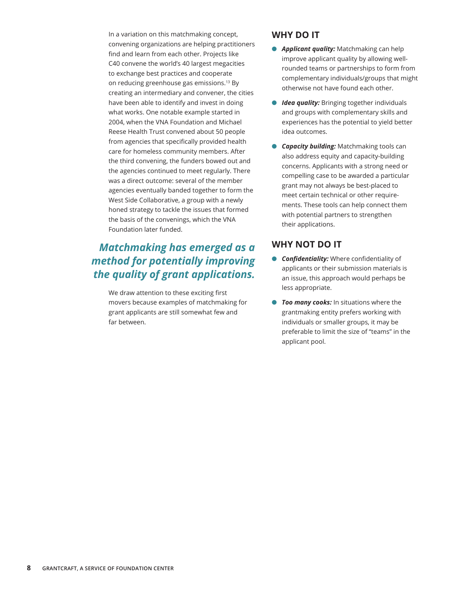In a variation on this matchmaking concept, convening organizations are helping practitioners find and learn from each other. Projects like C40 convene the world's 40 largest megacities to exchange best practices and cooperate on reducing greenhouse gas emissions.<sup>13</sup> By creating an intermediary and convener, the cities have been able to identify and invest in doing what works. One notable example started in 2004, when the VNA Foundation and Michael Reese Health Trust convened about 50 people from agencies that specifically provided health care for homeless community members. After the third convening, the funders bowed out and the agencies continued to meet regularly. There was a direct outcome: several of the member agencies eventually banded together to form the West Side Collaborative, a group with a newly honed strategy to tackle the issues that formed the basis of the convenings, which the VNA Foundation later funded.

# *Matchmaking has emerged as a method for potentially improving the quality of grant applications.*

We draw attention to these exciting first movers because examples of matchmaking for grant applicants are still somewhat few and far between.

### **WHY DO IT**

- **Applicant quality:** Matchmaking can help improve applicant quality by allowing wellrounded teams or partnerships to form from complementary individuals/groups that might otherwise not have found each other.
- **Idea quality:** Bringing together individuals and groups with complementary skills and experiences has the potential to yield better idea outcomes.
- **Capacity building:** Matchmaking tools can also address equity and capacity-building concerns. Applicants with a strong need or compelling case to be awarded a particular grant may not always be best-placed to meet certain technical or other requirements. These tools can help connect them with potential partners to strengthen their applications.

- **Confidentiality:** Where confidentiality of applicants or their submission materials is an issue, this approach would perhaps be less appropriate.
- *Too many cooks:* In situations where the grantmaking entity prefers working with individuals or smaller groups, it may be preferable to limit the size of "teams" in the applicant pool.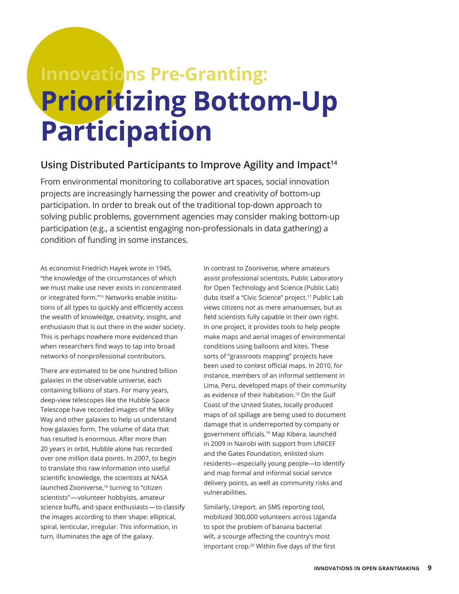# **Innovations Pre-Granting: Prioritizing Bottom-Up Participation**

### **Using Distributed Participants to Improve Agility and Impact14**

From environmental monitoring to collaborative art spaces, social innovation projects are increasingly harnessing the power and creativity of bottom-up participation. In order to break out of the traditional top-down approach to solving public problems, government agencies may consider making bottom-up participation (e.g., a scientist engaging non-professionals in data gathering) a condition of funding in some instances.

As economist Friedrich Hayek wrote in 1945, "the knowledge of the circumstances of which we must make use never exists in concentrated or integrated form."15 Networks enable institutions of all types to quickly and efficiently access the wealth of knowledge, creativity, insight, and enthusiasm that is out there in the wider society. This is perhaps nowhere more evidenced than when researchers find ways to tap into broad networks of nonprofessional contributors.

There are estimated to be one hundred billion galaxies in the observable universe, each containing billions of stars. For many years, deep-view telescopes like the Hubble Space Telescope have recorded images of the Milky Way and other galaxies to help us understand how galaxies form. The volume of data that has resulted is enormous. After more than 20 years in orbit, Hubble alone has recorded over one million data points. In 2007, to begin to translate this raw information into useful scientific knowledge, the scientists at NASA launched Zooniverse,<sup>16</sup> turning to "citizen scientists" — volunteer hobbyists, amateur science buffs, and space enthusiasts — to classify the images according to their shape: elliptical, spiral, lenticular, irregular. This information, in turn, illuminates the age of the galaxy.

In contrast to Zooniverse, where amateurs assist professional scientists, Public Laboratory for Open Technology and Science (Public Lab) dubs itself a "Civic Science" project.<sup>17</sup> Public Lab views citizens not as mere amanuenses, but as field scientists fully capable in their own right. In one project, it provides tools to help people make maps and aerial images of environmental conditions using balloons and kites. These sorts of "grassroots mapping" projects have been used to contest official maps. In 2010, for instance, members of an informal settlement in Lima, Peru, developed maps of their community as evidence of their habitation.<sup>18</sup> On the Gulf Coast of the United States, locally produced maps of oil spillage are being used to document damage that is underreported by company or government officials.19 Map Kibera, launched in 2009 in Nairobi with support from UNICEF and the Gates Foundation, enlisted slum residents—especially young people—to identify and map formal and informal social service delivery points, as well as community risks and vulnerabilities.

Similarly, Ureport, an SMS reporting tool, mobilized 300,000 volunteers across Uganda to spot the problem of banana bacterial wilt, a scourge affecting the country's most important crop.<sup>20</sup> Within five days of the first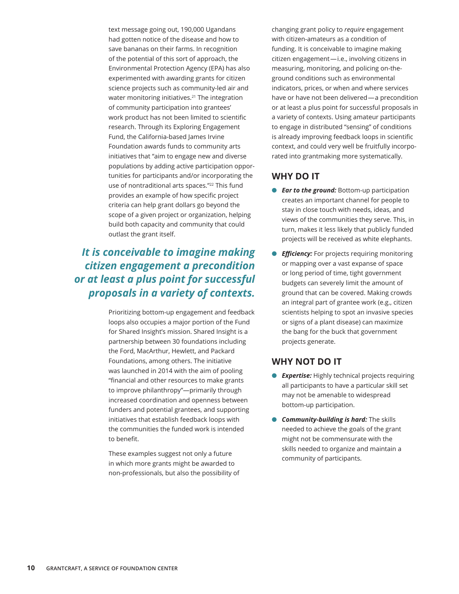text message going out, 190,000 Ugandans had gotten notice of the disease and how to save bananas on their farms. In recognition of the potential of this sort of approach, the Environmental Protection Agency (EPA) has also experimented with awarding grants for citizen science projects such as community-led air and water monitoring initiatives.<sup>21</sup> The integration of community participation into grantees' work product has not been limited to scientific research. Through its Exploring Engagement Fund, the California-based James Irvine Foundation awards funds to community arts initiatives that "aim to engage new and diverse populations by adding active participation opportunities for participants and/or incorporating the use of nontraditional arts spaces."<sup>22</sup> This fund provides an example of how specific project criteria can help grant dollars go beyond the scope of a given project or organization, helping build both capacity and community that could outlast the grant itself.

# *It is conceivable to imagine making citizen engagement a precondition or at least a plus point for successful proposals in a variety of contexts.*

Prioritizing bottom-up engagement and feedback loops also occupies a major portion of the Fund for Shared Insight's mission. Shared Insight is a partnership between 30 foundations including the Ford, MacArthur, Hewlett, and Packard Foundations, among others. The initiative was launched in 2014 with the aim of pooling "financial and other resources to make grants to improve philanthropy"—primarily through increased coordination and openness between funders and potential grantees, and supporting initiatives that establish feedback loops with the communities the funded work is intended to benefit.

These examples suggest not only a future in which more grants might be awarded to non-professionals, but also the possibility of changing grant policy to *require* engagement with citizen-amateurs as a condition of funding. It is conceivable to imagine making citizen engagement — i.e., involving citizens in measuring, monitoring, and policing on-theground conditions such as environmental indicators, prices, or when and where services have or have not been delivered — a precondition or at least a plus point for successful proposals in a variety of contexts. Using amateur participants to engage in distributed "sensing" of conditions is already improving feedback loops in scientific context, and could very well be fruitfully incorporated into grantmaking more systematically.

### **WHY DO IT**

- *Car to the ground: Bottom-up participation* creates an important channel for people to stay in close touch with needs, ideas, and views of the communities they serve. This, in turn, makes it less likely that publicly funded projects will be received as white elephants.
- **e** *Efficiency:* For projects requiring monitoring or mapping over a vast expanse of space or long period of time, tight government budgets can severely limit the amount of ground that can be covered. Making crowds an integral part of grantee work (e.g., citizen scientists helping to spot an invasive species or signs of a plant disease) can maximize the bang for the buck that government projects generate.

- **e** *Expertise:* Highly technical projects requiring all participants to have a particular skill set may not be amenable to widespread bottom-up participation.
- **Community-building is hard:** The skills needed to achieve the goals of the grant might not be commensurate with the skills needed to organize and maintain a community of participants.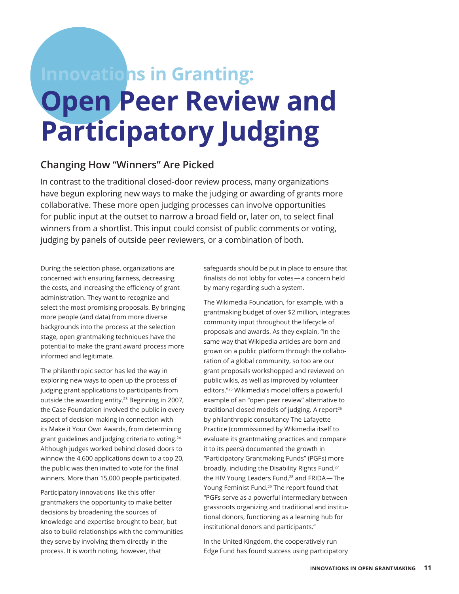# **Innovations in Granting: Open Peer Review and Participatory Judging**

### **Changing How "Winners" Are Picked**

In contrast to the traditional closed-door review process, many organizations have begun exploring new ways to make the judging or awarding of grants more collaborative. These more open judging processes can involve opportunities for public input at the outset to narrow a broad field or, later on, to select final winners from a shortlist. This input could consist of public comments or voting, judging by panels of outside peer reviewers, or a combination of both.

During the selection phase, organizations are concerned with ensuring fairness, decreasing the costs, and increasing the efficiency of grant administration. They want to recognize and select the most promising proposals. By bringing more people (and data) from more diverse backgrounds into the process at the selection stage, open grantmaking techniques have the potential to make the grant award process more informed and legitimate.

The philanthropic sector has led the way in exploring new ways to open up the process of judging grant applications to participants from outside the awarding entity.<sup>23</sup> Beginning in 2007, the Case Foundation involved the public in every aspect of decision making in connection with its Make it Your Own Awards, from determining grant guidelines and judging criteria to voting.24 Although judges worked behind closed doors to winnow the 4,600 applications down to a top 20, the public was then invited to vote for the final winners. More than 15,000 people participated.

Participatory innovations like this offer grantmakers the opportunity to make better decisions by broadening the sources of knowledge and expertise brought to bear, but also to build relationships with the communities they serve by involving them directly in the process. It is worth noting, however, that

safeguards should be put in place to ensure that finalists do not lobby for votes — a concern held by many regarding such a system.

The Wikimedia Foundation, for example, with a grantmaking budget of over \$2 million, integrates community input throughout the lifecycle of proposals and awards. As they explain, "In the same way that Wikipedia articles are born and grown on a public platform through the collaboration of a global community, so too are our grant proposals workshopped and reviewed on public wikis, as well as improved by volunteer editors."25 Wikimedia's model offers a powerful example of an "open peer review" alternative to traditional closed models of judging. A report<sup>26</sup> by philanthropic consultancy The Lafayette Practice (commissioned by Wikimedia itself to evaluate its grantmaking practices and compare it to its peers) documented the growth in "Participatory Grantmaking Funds" (PGFs) more broadly, including the Disability Rights Fund,<sup>27</sup> the HIV Young Leaders Fund,<sup>28</sup> and FRIDA-The Young Feminist Fund.<sup>29</sup> The report found that "PGFs serve as a powerful intermediary between grassroots organizing and traditional and institutional donors, functioning as a learning hub for institutional donors and participants."

In the United Kingdom, the cooperatively run Edge Fund has found success using participatory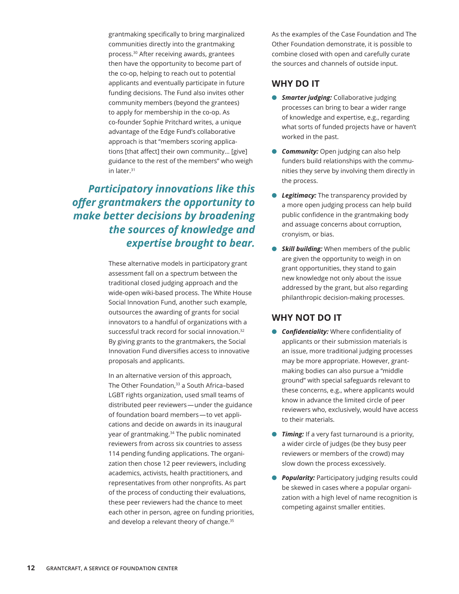grantmaking specifically to bring marginalized communities directly into the grantmaking process.30 After receiving awards, grantees then have the opportunity to become part of the co-op, helping to reach out to potential applicants and eventually participate in future funding decisions. The Fund also invites other community members (beyond the grantees) to apply for membership in the co-op. As co-founder Sophie Pritchard writes, a unique advantage of the Edge Fund's collaborative approach is that "members scoring applications [that affect] their own community… [give] guidance to the rest of the members" who weigh in later.<sup>31</sup>

*Participatory innovations like this offer grantmakers the opportunity to make better decisions by broadening the sources of knowledge and expertise brought to bear.*

> These alternative models in participatory grant assessment fall on a spectrum between the traditional closed judging approach and the wide-open wiki-based process. The White House Social Innovation Fund, another such example, outsources the awarding of grants for social innovators to a handful of organizations with a successful track record for social innovation.<sup>32</sup> By giving grants to the grantmakers, the Social Innovation Fund diversifies access to innovative proposals and applicants.

In an alternative version of this approach, The Other Foundation,<sup>33</sup> a South Africa-based LGBT rights organization, used small teams of distributed peer reviewers — under the guidance of foundation board members — to vet applications and decide on awards in its inaugural year of grantmaking.<sup>34</sup> The public nominated reviewers from across six countries to assess 114 pending funding applications. The organization then chose 12 peer reviewers, including academics, activists, health practitioners, and representatives from other nonprofits. As part of the process of conducting their evaluations, these peer reviewers had the chance to meet each other in person, agree on funding priorities, and develop a relevant theory of change.<sup>35</sup>

As the examples of the Case Foundation and The Other Foundation demonstrate, it is possible to combine closed with open and carefully curate the sources and channels of outside input.

### **WHY DO IT**

- **6 Smarter judging:** Collaborative judging processes can bring to bear a wider range of knowledge and expertise, e.g., regarding what sorts of funded projects have or haven't worked in the past.
- **Community:** Open judging can also help funders build relationships with the communities they serve by involving them directly in the process.
- **E** Legitimacy: The transparency provided by a more open judging process can help build public confidence in the grantmaking body and assuage concerns about corruption, cronyism, or bias.
- **6 Skill building:** When members of the public are given the opportunity to weigh in on grant opportunities, they stand to gain new knowledge not only about the issue addressed by the grant, but also regarding philanthropic decision-making processes.

- **Confidentiality:** Where confidentiality of applicants or their submission materials is an issue, more traditional judging processes may be more appropriate. However, grantmaking bodies can also pursue a "middle ground" with special safeguards relevant to these concerns, e.g., where applicants would know in advance the limited circle of peer reviewers who, exclusively, would have access to their materials.
- **Timing:** If a very fast turnaround is a priority, a wider circle of judges (be they busy peer reviewers or members of the crowd) may slow down the process excessively.
- **Popularity:** Participatory judging results could be skewed in cases where a popular organization with a high level of name recognition is competing against smaller entities.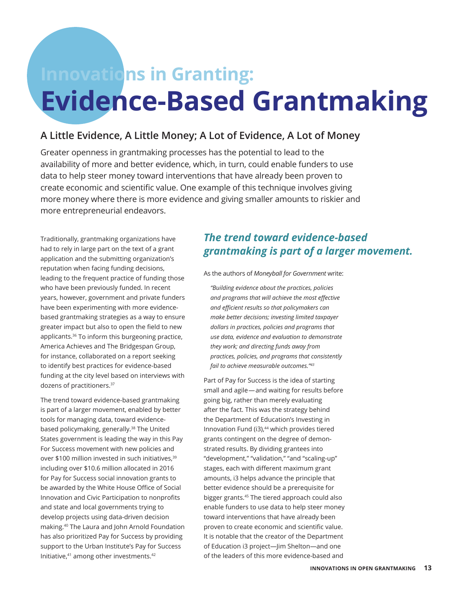# **Innovations in Granting: Evidence-Based Grantmaking**

## **A Little Evidence, A Little Money; A Lot of Evidence, A Lot of Money**

Greater openness in grantmaking processes has the potential to lead to the availability of more and better evidence, which, in turn, could enable funders to use data to help steer money toward interventions that have already been proven to create economic and scientific value. One example of this technique involves giving more money where there is more evidence and giving smaller amounts to riskier and more entrepreneurial endeavors.

Traditionally, grantmaking organizations have had to rely in large part on the text of a grant application and the submitting organization's reputation when facing funding decisions, leading to the frequent practice of funding those who have been previously funded. In recent years, however, government and private funders have been experimenting with more evidencebased grantmaking strategies as a way to ensure greater impact but also to open the field to new applicants.36 To inform this burgeoning practice, America Achieves and The Bridgespan Group, for instance, collaborated on a report seeking to identify best practices for evidence-based funding at the city level based on interviews with dozens of practitioners.<sup>37</sup>

The trend toward evidence-based grantmaking is part of a larger movement, enabled by better tools for managing data, toward evidencebased policymaking, generally.<sup>38</sup> The United States government is leading the way in this Pay For Success movement with new policies and over \$100 million invested in such initiatives.<sup>39</sup> including over \$10.6 million allocated in 2016 for Pay for Success social innovation grants to be awarded by the White House Office of Social Innovation and Civic Participation to nonprofits and state and local governments trying to develop projects using data-driven decision making.40 The Laura and John Arnold Foundation has also prioritized Pay for Success by providing support to the Urban Institute's Pay for Success Initiative,41 among other investments.42

# *The trend toward evidence-based grantmaking is part of a larger movement.*

As the authors of *Moneyball for Government* write:

*"Building evidence about the practices, policies and programs that will achieve the most effective and efficient results so that policymakers can make better decisions; investing limited taxpayer dollars in practices, policies and programs that use data, evidence and evaluation to demonstrate they work; and directing funds away from practices, policies, and programs that consistently fail to achieve measurable outcomes."<sup>43</sup>*

Part of Pay for Success is the idea of starting small and agile - and waiting for results before going big, rather than merely evaluating after the fact. This was the strategy behind the Department of Education's Investing in Innovation Fund (i3),<sup>44</sup> which provides tiered grants contingent on the degree of demonstrated results. By dividing grantees into "development," "validation," "and "scaling-up" stages, each with different maximum grant amounts, i3 helps advance the principle that better evidence should be a prerequisite for bigger grants.45 The tiered approach could also enable funders to use data to help steer money toward interventions that have already been proven to create economic and scientific value. It is notable that the creator of the Department of Education i3 project—Jim Shelton—and one of the leaders of this more evidence-based and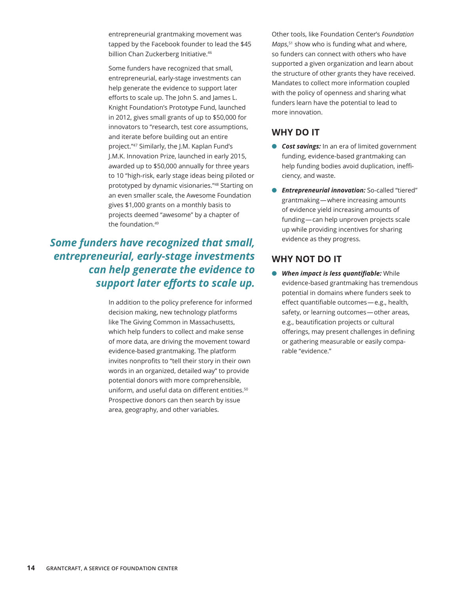entrepreneurial grantmaking movement was tapped by the Facebook founder to lead the \$45 billion Chan Zuckerberg Initiative.<sup>46</sup>

Some funders have recognized that small, entrepreneurial, early-stage investments can help generate the evidence to support later efforts to scale up. The John S. and James L. Knight Foundation's Prototype Fund, launched in 2012, gives small grants of up to \$50,000 for innovators to "research, test core assumptions, and iterate before building out an entire project."47 Similarly, the J.M. Kaplan Fund's J.M.K. Innovation Prize, launched in early 2015, awarded up to \$50,000 annually for three years to 10 "high-risk, early stage ideas being piloted or prototyped by dynamic visionaries."48 Starting on an even smaller scale, the Awesome Foundation gives \$1,000 grants on a monthly basis to projects deemed "awesome" by a chapter of the foundation.49

# *Some funders have recognized that small, entrepreneurial, early-stage investments can help generate the evidence to support later efforts to scale up.*

In addition to the policy preference for informed decision making, new technology platforms like The Giving Common in Massachusetts, which help funders to collect and make sense of more data, are driving the movement toward evidence-based grantmaking. The platform invites nonprofits to "tell their story in their own words in an organized, detailed way" to provide potential donors with more comprehensible, uniform, and useful data on different entities.<sup>50</sup> Prospective donors can then search by issue area, geography, and other variables.

Other tools, like Foundation Center's *Foundation Maps*, <sup>51</sup> show who is funding what and where, so funders can connect with others who have supported a given organization and learn about the structure of other grants they have received. Mandates to collect more information coupled with the policy of openness and sharing what funders learn have the potential to lead to more innovation.

### **WHY DO IT**

- **Cost savings:** In an era of limited government funding, evidence-based grantmaking can help funding bodies avoid duplication, inefficiency, and waste.
- **C** *Entrepreneurial innovation:* So-called "tiered" grantmaking — where increasing amounts of evidence yield increasing amounts of funding — can help unproven projects scale up while providing incentives for sharing evidence as they progress.

### **WHY NOT DO IT**

**• When impact is less quantifiable:** While evidence-based grantmaking has tremendous potential in domains where funders seek to effect quantifiable outcomes — e.g., health, safety, or learning outcomes - other areas, e.g., beautification projects or cultural offerings, may present challenges in defining or gathering measurable or easily comparable "evidence."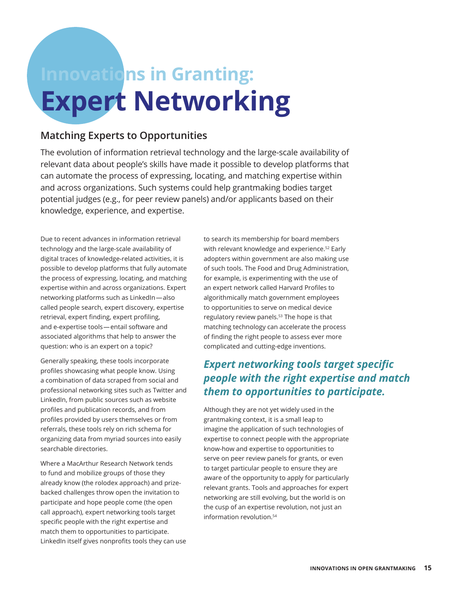# **Innovations in Granting: Expert Networking**

### **Matching Experts to Opportunities**

The evolution of information retrieval technology and the large-scale availability of relevant data about people's skills have made it possible to develop platforms that can automate the process of expressing, locating, and matching expertise within and across organizations. Such systems could help grantmaking bodies target potential judges (e.g., for peer review panels) and/or applicants based on their knowledge, experience, and expertise.

Due to recent advances in information retrieval technology and the large-scale availability of digital traces of knowledge-related activities, it is possible to develop platforms that fully automate the process of expressing, locating, and matching expertise within and across organizations. Expert networking platforms such as LinkedIn — also called people search, expert discovery, expertise retrieval, expert finding, expert profiling, and e-expertise tools — entail software and associated algorithms that help to answer the question: who is an expert on a topic?

Generally speaking, these tools incorporate profiles showcasing what people know. Using a combination of data scraped from social and professional networking sites such as Twitter and LinkedIn, from public sources such as website profiles and publication records, and from profiles provided by users themselves or from referrals, these tools rely on rich schema for organizing data from myriad sources into easily searchable directories.

Where a MacArthur Research Network tends to fund and mobilize groups of those they already know (the rolodex approach) and prizebacked challenges throw open the invitation to participate and hope people come (the open call approach), expert networking tools target specific people with the right expertise and match them to opportunities to participate. LinkedIn itself gives nonprofits tools they can use to search its membership for board members with relevant knowledge and experience.<sup>52</sup> Early adopters within government are also making use of such tools. The Food and Drug Administration, for example, is experimenting with the use of an expert network called Harvard Profiles to algorithmically match government employees to opportunities to serve on medical device regulatory review panels.<sup>53</sup> The hope is that matching technology can accelerate the process of finding the right people to assess ever more complicated and cutting-edge inventions.

# *Expert networking tools target specific people with the right expertise and match them to opportunities to participate.*

Although they are not yet widely used in the grantmaking context, it is a small leap to imagine the application of such technologies of expertise to connect people with the appropriate know-how and expertise to opportunities to serve on peer review panels for grants, or even to target particular people to ensure they are aware of the opportunity to apply for particularly relevant grants. Tools and approaches for expert networking are still evolving, but the world is on the cusp of an expertise revolution, not just an information revolution.<sup>54</sup>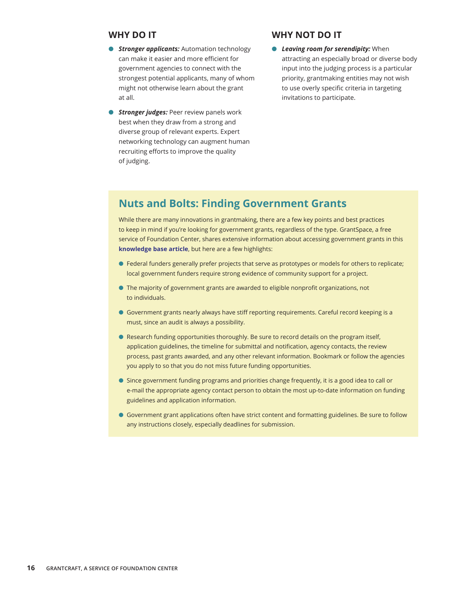#### **WHY DO IT**

- *C Stronger applicants:* Automation technology can make it easier and more efficient for government agencies to connect with the strongest potential applicants, many of whom might not otherwise learn about the grant at all.
- *Stronger judges: Peer review panels work* best when they draw from a strong and diverse group of relevant experts. Expert networking technology can augment human recruiting efforts to improve the quality of judging.

#### **WHY NOT DO IT**

*Leaving room for serendipity:* When attracting an especially broad or diverse body input into the judging process is a particular priority, grantmaking entities may not wish to use overly specific criteria in targeting invitations to participate.

### **Nuts and Bolts: Finding Government Grants**

While there are many innovations in grantmaking, there are a few key points and best practices to keep in mind if you're looking for government grants, regardless of the type. GrantSpace, a free service of Foundation Center, shares extensive information about accessing government grants in this **[knowledge base article](http://grantspace.org/tools/knowledge-base/Funding-Resources/Government-Funders/government-grants)**, but here are a few highlights:

- $\bullet$  Federal funders generally prefer projects that serve as prototypes or models for others to replicate; local government funders require strong evidence of community support for a project.
- **The majority of government grants are awarded to eligible nonprofit organizations, not** to individuals.
- l Government grants nearly always have stiff reporting requirements. Careful record keeping is a must, since an audit is always a possibility.
- **Research funding opportunities thoroughly. Be sure to record details on the program itself,** application guidelines, the timeline for submittal and notification, agency contacts, the review process, past grants awarded, and any other relevant information. Bookmark or follow the agencies you apply to so that you do not miss future funding opportunities.
- **In Since government funding programs and priorities change frequently, it is a good idea to call or** e-mail the appropriate agency contact person to obtain the most up-to-date information on funding guidelines and application information.
- l Government grant applications often have strict content and formatting guidelines. Be sure to follow any instructions closely, especially deadlines for submission.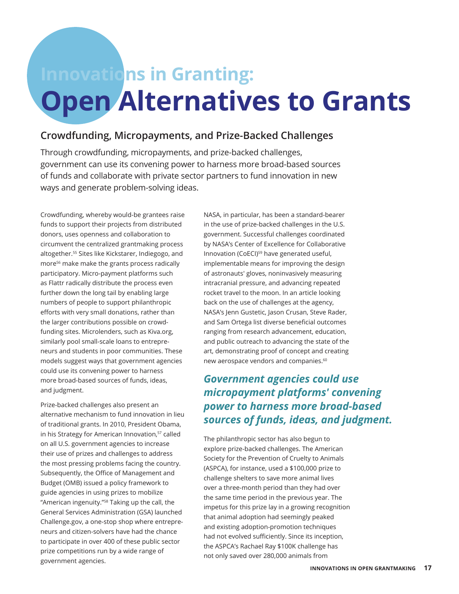# **Innovations in Granting: Open Alternatives to Grants**

### **Crowdfunding, Micropayments, and Prize-Backed Challenges**

Through crowdfunding, micropayments, and prize-backed challenges, government can use its convening power to harness more broad-based sources of funds and collaborate with private sector partners to fund innovation in new ways and generate problem-solving ideas.

Crowdfunding, whereby would-be grantees raise funds to support their projects from distributed donors, uses openness and collaboration to circumvent the centralized grantmaking process altogether.55 Sites like Kickstarer, Indiegogo, and more<sup>56</sup> make make the grants process radically participatory. Micro-payment platforms such as Flattr radically distribute the process even further down the long tail by enabling large numbers of people to support philanthropic efforts with very small donations, rather than the larger contributions possible on crowdfunding sites. Microlenders, such as Kiva.org, similarly pool small-scale loans to entrepreneurs and students in poor communities. These models suggest ways that government agencies could use its convening power to harness more broad-based sources of funds, ideas, and judgment.

Prize-backed challenges also present an alternative mechanism to fund innovation in lieu of traditional grants. In 2010, President Obama, in his Strategy for American Innovation,<sup>57</sup> called on all U.S. government agencies to increase their use of prizes and challenges to address the most pressing problems facing the country. Subsequently, the Office of Management and Budget (OMB) issued a policy framework to guide agencies in using prizes to mobilize "American ingenuity."58 Taking up the call, the General Services Administration (GSA) launched Challenge.gov, a one-stop shop where entrepreneurs and citizen-solvers have had the chance to participate in over 400 of these public sector prize competitions run by a wide range of government agencies.

NASA, in particular, has been a standard-bearer in the use of prize-backed challenges in the U.S. government. Successful challenges coordinated by NASA's Center of Excellence for Collaborative Innovation (CoECI)<sup>59</sup> have generated useful, implementable means for improving the design of astronauts' gloves, noninvasively measuring intracranial pressure, and advancing repeated rocket travel to the moon. In an article looking back on the use of challenges at the agency, NASA's Jenn Gustetic, Jason Crusan, Steve Rader, and Sam Ortega list diverse beneficial outcomes ranging from research advancement, education, and public outreach to advancing the state of the art, demonstrating proof of concept and creating new aerospace vendors and companies.<sup>60</sup>

# *Government agencies could use micropayment platforms' convening power to harness more broad-based sources of funds, ideas, and judgment.*

The philanthropic sector has also begun to explore prize-backed challenges. The American Society for the Prevention of Cruelty to Animals (ASPCA), for instance, used a \$100,000 prize to challenge shelters to save more animal lives over a three-month period than they had over the same time period in the previous year. The impetus for this prize lay in a growing recognition that animal adoption had seemingly peaked and existing adoption-promotion techniques had not evolved sufficiently. Since its inception, the ASPCA's Rachael Ray \$100K challenge has not only saved over 280,000 animals from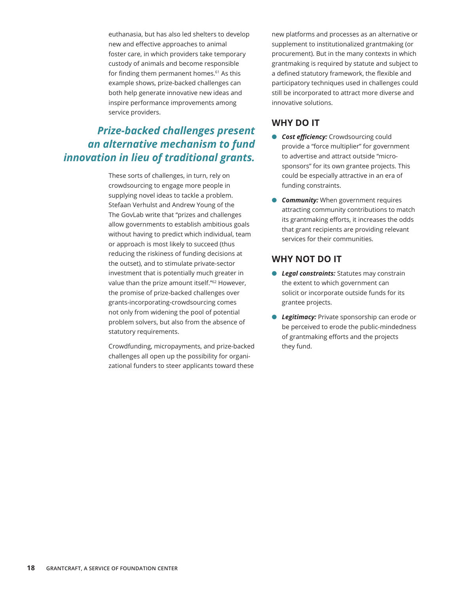euthanasia, but has also led shelters to develop new and effective approaches to animal foster care, in which providers take temporary custody of animals and become responsible for finding them permanent homes.<sup>61</sup> As this example shows, prize-backed challenges can both help generate innovative new ideas and inspire performance improvements among service providers.

# *Prize-backed challenges present an alternative mechanism to fund innovation in lieu of traditional grants.*

These sorts of challenges, in turn, rely on crowdsourcing to engage more people in supplying novel ideas to tackle a problem. Stefaan Verhulst and Andrew Young of the The GovLab write that "prizes and challenges allow governments to establish ambitious goals without having to predict which individual, team or approach is most likely to succeed (thus reducing the riskiness of funding decisions at the outset), and to stimulate private-sector investment that is potentially much greater in value than the prize amount itself."62 However, the promise of prize-backed challenges over grants-incorporating-crowdsourcing comes not only from widening the pool of potential problem solvers, but also from the absence of statutory requirements.

Crowdfunding, micropayments, and prize-backed challenges all open up the possibility for organizational funders to steer applicants toward these

new platforms and processes as an alternative or supplement to institutionalized grantmaking (or procurement). But in the many contexts in which grantmaking is required by statute and subject to a defined statutory framework, the flexible and participatory techniques used in challenges could still be incorporated to attract more diverse and innovative solutions.

### **WHY DO IT**

- **Cost efficiency:** Crowdsourcing could provide a "force multiplier" for government to advertise and attract outside "microsponsors" for its own grantee projects. This could be especially attractive in an era of funding constraints.
- **Community:** When government requires attracting community contributions to match its grantmaking efforts, it increases the odds that grant recipients are providing relevant services for their communities.

- **e** Legal constraints: Statutes may constrain the extent to which government can solicit or incorporate outside funds for its grantee projects.
- **e** Legitimacy: Private sponsorship can erode or be perceived to erode the public-mindedness of grantmaking efforts and the projects they fund.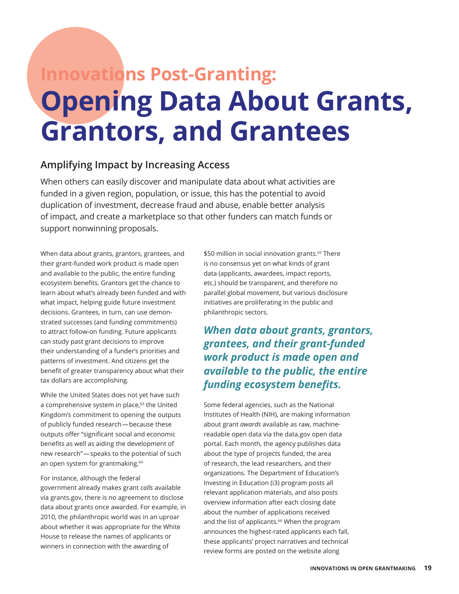# **Innovations Post-Granting: Opening Data About Grants, Grantors, and Grantees**

### **Amplifying Impact by Increasing Access**

When others can easily discover and manipulate data about what activities are funded in a given region, population, or issue, this has the potential to avoid duplication of investment, decrease fraud and abuse, enable better analysis of impact, and create a marketplace so that other funders can match funds or support nonwinning proposals.

When data about grants, grantors, grantees, and their grant-funded work product is made open and available to the public, the entire funding ecosystem benefits. Grantors get the chance to learn about what's already been funded and with what impact, helping guide future investment decisions. Grantees, in turn, can use demonstrated successes (and funding commitments) to attract follow-on funding. Future applicants can study past grant decisions to improve their understanding of a funder's priorities and patterns of investment. And citizens get the benefit of greater transparency about what their tax dollars are accomplishing.

While the United States does not yet have such a comprehensive system in place,<sup>63</sup> the United Kingdom's commitment to opening the outputs of publicly funded research — because these outputs offer "significant social and economic benefits as well as aiding the development of new research" — speaks to the potential of such an open system for grantmaking.<sup>64</sup>

For instance, although the federal government already makes grant *calls* available via grants.gov, there is no agreement to disclose data about grants once awarded. For example, in 2010, the philanthropic world was in an uproar about whether it was appropriate for the White House to release the names of applicants or winners in connection with the awarding of

\$50 million in social innovation grants.<sup>65</sup> There is no consensus yet on what kinds of grant data (applicants, awardees, impact reports, etc.) should be transparent, and therefore no parallel global movement, but various disclosure initiatives are proliferating in the public and philanthropic sectors.

*When data about grants, grantors, grantees, and their grant-funded work product is made open and available to the public, the entire funding ecosystem benefits.*

Some federal agencies, such as the National Institutes of Health (NIH), are making information about grant *awards* available as raw, machinereadable open data via the data.gov open data portal. Each month, the agency publishes data about the type of projects funded, the area of research, the lead researchers, and their organizations. The Department of Education's Investing in Education (i3) program posts all relevant application materials, and also posts overview information after each closing date about the number of applications received and the list of applicants.<sup>66</sup> When the program announces the highest-rated applicants each fall, these applicants' project narratives and technical review forms are posted on the website along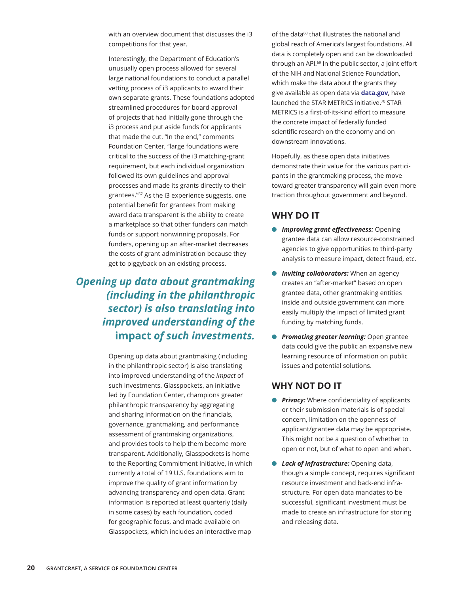with an overview document that discusses the i3 competitions for that year.

Interestingly, the Department of Education's unusually open process allowed for several large national foundations to conduct a parallel vetting process of i3 applicants to award their own separate grants. These foundations adopted streamlined procedures for board approval of projects that had initially gone through the i3 process and put aside funds for applicants that made the cut. "In the end," comments Foundation Center, "large foundations were critical to the success of the i3 matching-grant requirement, but each individual organization followed its own guidelines and approval processes and made its grants directly to their grantees."<sup>67</sup> As the i3 experience suggests, one potential benefit for grantees from making award data transparent is the ability to create a marketplace so that other funders can match funds or support nonwinning proposals. For funders, opening up an after-market decreases the costs of grant administration because they get to piggyback on an existing process.

*Opening up data about grantmaking (including in the philanthropic sector) is also translating into improved understanding of the*  **impact** *of such investments.* 

> Opening up data about grantmaking (including in the philanthropic sector) is also translating into improved understanding of the *impact* of such investments. Glasspockets, an initiative led by Foundation Center, champions greater philanthropic transparency by aggregating and sharing information on the financials, governance, grantmaking, and performance assessment of grantmaking organizations, and provides tools to help them become more transparent. Additionally, Glasspockets is home to the Reporting Commitment Initiative, in which currently a total of 19 U.S. foundations aim to improve the quality of grant information by advancing transparency and open data. Grant information is reported at least quarterly (daily in some cases) by each foundation, coded for geographic focus, and made available on Glasspockets, which includes an interactive map

of the data<sup>68</sup> that illustrates the national and global reach of America's largest foundations. All data is completely open and can be downloaded through an API.<sup>69</sup> In the public sector, a joint effort of the NIH and National Science Foundation, which make the data about the grants they give available as open data via **[data.gov](http://data.gov)**, have launched the STAR METRICS initiative.<sup>70</sup> STAR METRICS is a first-of-its-kind effort to measure the concrete impact of federally funded scientific research on the economy and on downstream innovations.

Hopefully, as these open data initiatives demonstrate their value for the various participants in the grantmaking process, the move toward greater transparency will gain even more traction throughout government and beyond.

#### **WHY DO IT**

- **Improving grant effectiveness: Opening** grantee data can allow resource-constrained agencies to give opportunities to third-party analysis to measure impact, detect fraud, etc.
- **Inviting collaborators:** When an agency creates an "after-market" based on open grantee data, other grantmaking entities inside and outside government can more easily multiply the impact of limited grant funding by matching funds.
- **Promoting greater learning:** Open grantee data could give the public an expansive new learning resource of information on public issues and potential solutions.

- **Privacy:** Where confidentiality of applicants or their submission materials is of special concern, limitation on the openness of applicant/grantee data may be appropriate. This might not be a question of whether to open or not, but of what to open and when.
- **lack of infrastructure:** Opening data, though a simple concept, requires significant resource investment and back-end infrastructure. For open data mandates to be successful, significant investment must be made to create an infrastructure for storing and releasing data.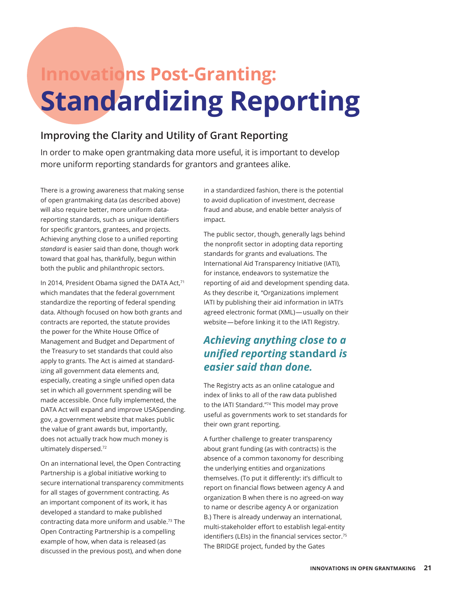# **Innovations Post-Granting: Standardizing Reporting**

## **Improving the Clarity and Utility of Grant Reporting**

In order to make open grantmaking data more useful, it is important to develop more uniform reporting standards for grantors and grantees alike.

There is a growing awareness that making sense of open grantmaking data (as described above) will also require better, more uniform datareporting standards, such as unique identifiers for specific grantors, grantees, and projects. Achieving anything close to a unified reporting *standard* is easier said than done, though work toward that goal has, thankfully, begun within both the public and philanthropic sectors.

In 2014, President Obama signed the DATA Act, $71$ which mandates that the federal government standardize the reporting of federal spending data. Although focused on how both grants and contracts are reported, the statute provides the power for the White House Office of Management and Budget and Department of the Treasury to set standards that could also apply to grants. The Act is aimed at standardizing all government data elements and, especially, creating a single unified open data set in which all government spending will be made accessible. Once fully implemented, the DATA Act will expand and improve USASpending. gov, a government website that makes public the value of grant awards but, importantly, does not actually track how much money is ultimately dispersed.<sup>72</sup>

On an international level, the Open Contracting Partnership is a global initiative working to secure international transparency commitments for all stages of government contracting. As an important component of its work, it has developed a standard to make published contracting data more uniform and usable.73 The Open Contracting Partnership is a compelling example of how, when data is released (as discussed in the previous post), and when done

in a standardized fashion, there is the potential to avoid duplication of investment, decrease fraud and abuse, and enable better analysis of impact.

The public sector, though, generally lags behind the nonprofit sector in adopting data reporting standards for grants and evaluations. The International Aid Transparency Initiative (IATI), for instance, endeavors to systematize the reporting of aid and development spending data. As they describe it, "Organizations implement IATI by publishing their aid information in IATI's agreed electronic format (XML) — usually on their website-before linking it to the IATI Registry.

# *Achieving anything close to a unified reporting* **standard** *is easier said than done.*

The Registry acts as an online catalogue and index of links to all of the raw data published to the IATI Standard."74 This model may prove useful as governments work to set standards for their own grant reporting.

A further challenge to greater transparency about grant funding (as with contracts) is the absence of a common taxonomy for describing the underlying entities and organizations themselves. (To put it differently: it's difficult to report on financial flows between agency A and organization B when there is no agreed-on way to name or describe agency A or organization B.) There is already underway an international, multi-stakeholder effort to establish legal-entity identifiers (LEIs) in the financial services sector.<sup>75</sup> The BRIDGE project, funded by the Gates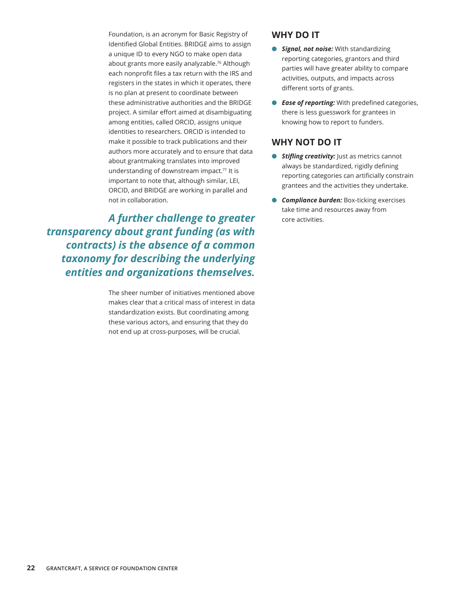Foundation, is an acronym for Basic Registry of Identified Global Entities. BRIDGE aims to assign a unique ID to every NGO to make open data about grants more easily analyzable.<sup>76</sup> Although each nonprofit files a tax return with the IRS and registers in the states in which it operates, there is no plan at present to coordinate between these administrative authorities and the BRIDGE project. A similar effort aimed at disambiguating among entities, called ORCID, assigns unique identities to researchers. ORCID is intended to make it possible to track publications and their authors more accurately and to ensure that data about grantmaking translates into improved understanding of downstream impact.<sup>77</sup> It is important to note that, although similar, LEI, ORCID, and BRIDGE are working in parallel and not in collaboration.

A further challenge to greater core activities. *transparency about grant funding (as with contracts) is the absence of a common taxonomy for describing the underlying entities and organizations themselves.*

> The sheer number of initiatives mentioned above makes clear that a critical mass of interest in data standardization exists. But coordinating among these various actors, and ensuring that they do not end up at cross-purposes, will be crucial.

### **WHY DO IT**

- *Signal, not noise:* With standardizing reporting categories, grantors and third parties will have greater ability to compare activities, outputs, and impacts across different sorts of grants.
- **e** *Ease of reporting:* With predefined categories, there is less guesswork for grantees in knowing how to report to funders.

- *Stifling creativity:* Just as metrics cannot always be standardized, rigidly defining reporting categories can artificially constrain grantees and the activities they undertake.
- *Compliance burden: Box-ticking exercises* take time and resources away from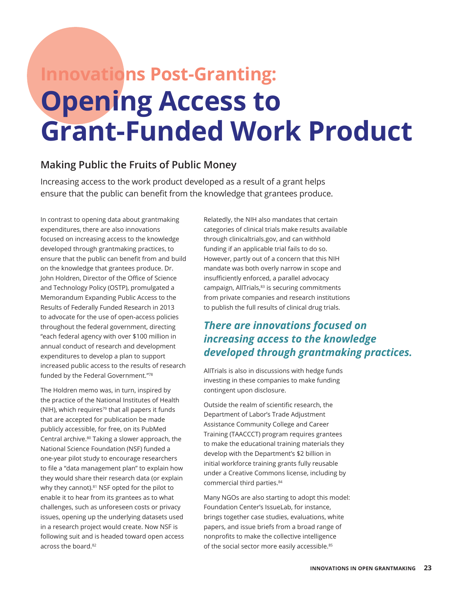# **Innovations Post-Granting: Opening Access to Grant-Funded Work Product**

### **Making Public the Fruits of Public Money**

Increasing access to the work product developed as a result of a grant helps ensure that the public can benefit from the knowledge that grantees produce.

In contrast to opening data about grantmaking expenditures, there are also innovations focused on increasing access to the knowledge developed through grantmaking practices, to ensure that the public can benefit from and build on the knowledge that grantees produce. Dr. John Holdren, Director of the Office of Science and Technology Policy (OSTP), promulgated a Memorandum Expanding Public Access to the Results of Federally Funded Research in 2013 to advocate for the use of open-access policies throughout the federal government, directing "each federal agency with over \$100 million in annual conduct of research and development expenditures to develop a plan to support increased public access to the results of research funded by the Federal Government."<sup>78</sup>

The Holdren memo was, in turn, inspired by the practice of the National Institutes of Health (NIH), which requires<sup>79</sup> that all papers it funds that are accepted for publication be made publicly accessible, for free, on its PubMed Central archive.80 Taking a slower approach, the National Science Foundation (NSF) funded a one-year pilot study to encourage researchers to file a "data management plan" to explain how they would share their research data (or explain why they cannot).<sup>81</sup> NSF opted for the pilot to enable it to hear from its grantees as to what challenges, such as unforeseen costs or privacy issues, opening up the underlying datasets used in a research project would create. Now NSF is following suit and is headed toward open access across the board.<sup>82</sup>

Relatedly, the NIH also mandates that certain categories of clinical trials make results available through clinicaltrials.gov, and can withhold funding if an applicable trial fails to do so. However, partly out of a concern that this NIH mandate was both overly narrow in scope and insufficiently enforced, a parallel advocacy campaign, AllTrials,<sup>83</sup> is securing commitments from private companies and research institutions to publish the full results of clinical drug trials.

# *There are innovations focused on increasing access to the knowledge developed through grantmaking practices.*

AllTrials is also in discussions with hedge funds investing in these companies to make funding contingent upon disclosure.

Outside the realm of scientific research, the Department of Labor's Trade Adjustment Assistance Community College and Career Training (TAACCCT) program requires grantees to make the educational training materials they develop with the Department's \$2 billion in initial workforce training grants fully reusable under a Creative Commons license, including by commercial third parties.<sup>84</sup>

Many NGOs are also starting to adopt this model: Foundation Center's IssueLab, for instance, brings together case studies, evaluations, white papers, and issue briefs from a broad range of nonprofits to make the collective intelligence of the social sector more easily accessible.<sup>85</sup>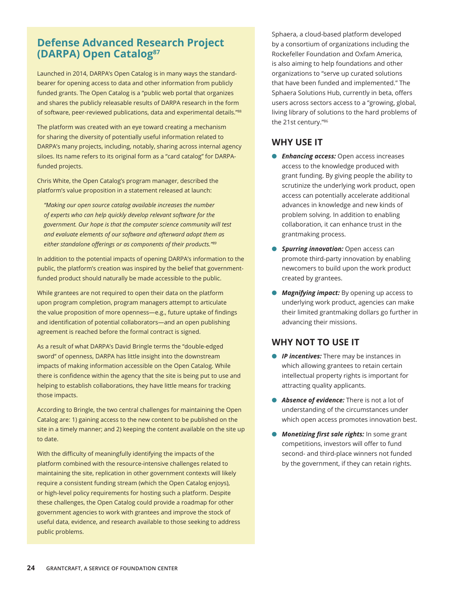### **Defense Advanced Research Project (DARPA) Open Catalog87**

Launched in 2014, DARPA's Open Catalog is in many ways the standardbearer for opening access to data and other information from publicly funded grants. The Open Catalog is a "public web portal that organizes and shares the publicly releasable results of DARPA research in the form of software, peer-reviewed publications, data and experimental details."<sup>88</sup>

The platform was created with an eye toward creating a mechanism for sharing the diversity of potentially useful information related to DARPA's many projects, including, notably, sharing across internal agency siloes. Its name refers to its original form as a "card catalog" for DARPAfunded projects.

Chris White, the Open Catalog's program manager, described the platform's value proposition in a statement released at launch:

*"Making our open source catalog available increases the number of experts who can help quickly develop relevant software for the government. Our hope is that the computer science community will test and evaluate elements of our software and afterward adopt them as either standalone offerings or as components of their products."<sup>89</sup>*

In addition to the potential impacts of opening DARPA's information to the public, the platform's creation was inspired by the belief that governmentfunded product should naturally be made accessible to the public.

While grantees are not required to open their data on the platform upon program completion, program managers attempt to articulate the value proposition of more openness—e.g., future uptake of findings and identification of potential collaborators—and an open publishing agreement is reached before the formal contract is signed.

As a result of what DARPA's David Bringle terms the "double-edged sword" of openness, DARPA has little insight into the downstream impacts of making information accessible on the Open Catalog. While there is confidence within the agency that the site is being put to use and helping to establish collaborations, they have little means for tracking those impacts.

According to Bringle, the two central challenges for maintaining the Open Catalog are: 1) gaining access to the new content to be published on the site in a timely manner; and 2) keeping the content available on the site up to date.

With the difficulty of meaningfully identifying the impacts of the platform combined with the resource-intensive challenges related to maintaining the site, replication in other government contexts will likely require a consistent funding stream (which the Open Catalog enjoys), or high-level policy requirements for hosting such a platform. Despite these challenges, the Open Catalog could provide a roadmap for other government agencies to work with grantees and improve the stock of useful data, evidence, and research available to those seeking to address public problems.

Sphaera, a cloud-based platform developed by a consortium of organizations including the Rockefeller Foundation and Oxfam America, is also aiming to help foundations and other organizations to "serve up curated solutions that have been funded and implemented." The Sphaera Solutions Hub, currently in beta, offers users across sectors access to a "growing, global, living library of solutions to the hard problems of the 21st century."<sup>86</sup>

### **WHY USE IT**

- *C Enhancing access:* Open access increases access to the knowledge produced with grant funding. By giving people the ability to scrutinize the underlying work product, open access can potentially accelerate additional advances in knowledge and new kinds of problem solving. In addition to enabling collaboration, it can enhance trust in the grantmaking process.
- *Spurring innovation: Open access can* promote third-party innovation by enabling newcomers to build upon the work product created by grantees.
- **Magnifying impact:** By opening up access to underlying work product, agencies can make their limited grantmaking dollars go further in advancing their missions.

### **WHY NOT TO USE IT**

- *IP incentives:* There may be instances in which allowing grantees to retain certain intellectual property rights is important for attracting quality applicants.
- **Absence of evidence:** There is not a lot of understanding of the circumstances under which open access promotes innovation best.
- **Monetizing first sale rights:** In some grant competitions, investors will offer to fund second- and third-place winners not funded by the government, if they can retain rights.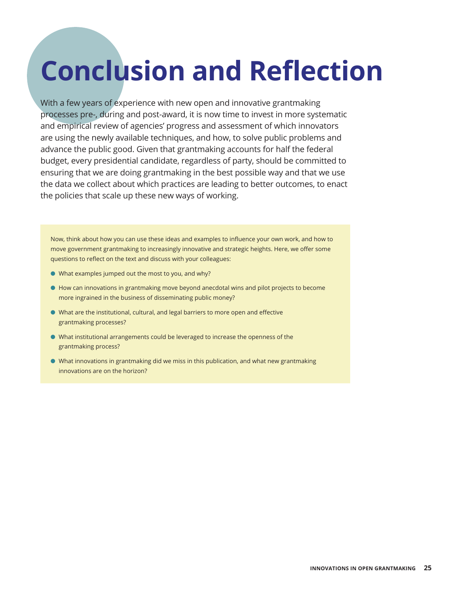# **Conclusion and Reflection**

With a few years of experience with new open and innovative grantmaking processes pre-, during and post-award, it is now time to invest in more systematic and empirical review of agencies' progress and assessment of which innovators are using the newly available techniques, and how, to solve public problems and advance the public good. Given that grantmaking accounts for half the federal budget, every presidential candidate, regardless of party, should be committed to ensuring that we are doing grantmaking in the best possible way and that we use the data we collect about which practices are leading to better outcomes, to enact the policies that scale up these new ways of working.

Now, think about how you can use these ideas and examples to influence your own work, and how to move government grantmaking to increasingly innovative and strategic heights. Here, we offer some questions to reflect on the text and discuss with your colleagues:

- $\bullet$  What examples jumped out the most to you, and why?
- $\bullet$  How can innovations in grantmaking move beyond anecdotal wins and pilot projects to become more ingrained in the business of disseminating public money?
- l What are the institutional, cultural, and legal barriers to more open and effective grantmaking processes?
- l What institutional arrangements could be leveraged to increase the openness of the grantmaking process?
- $\bullet$  What innovations in grantmaking did we miss in this publication, and what new grantmaking innovations are on the horizon?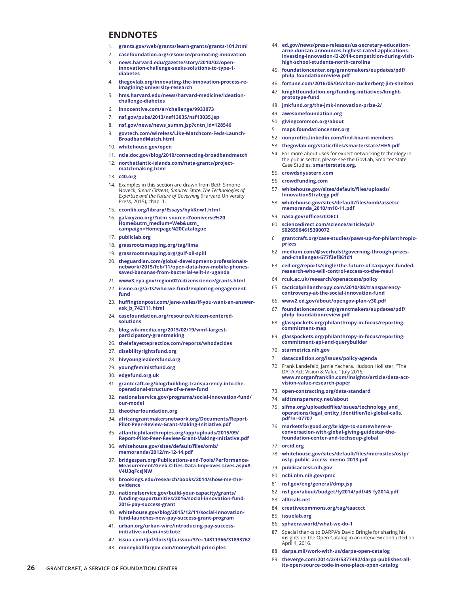#### **ENDNOTES**

- 1. **[grants.gov/web/grants/learn-grants/grants-101.html](http://www.grants.gov/web/grants/learn-grants/grants-101.html)**
- 2. **[casefoundation.org/resource/promoting-innovation](http://casefoundation.org/resource/promoting-innovation/)**
- 3. **[news.harvard.edu/gazette/story/2010/02/open](http://news.harvard.edu/gazette/story/2010/02/open-innovation-challenge-seeks-solutions-to-type-1-diabetes/)[innovation-challenge-seeks-solutions-to-type-1](http://news.harvard.edu/gazette/story/2010/02/open-innovation-challenge-seeks-solutions-to-type-1-diabetes/) [diabetes](http://news.harvard.edu/gazette/story/2010/02/open-innovation-challenge-seeks-solutions-to-type-1-diabetes/)**
- 4. **[thegovlab.org/innovating-the-innovation-process-re](http://thegovlab.org/innovating-the-innovation-process-re-imagining-university-research/)[imagining-university-research](http://thegovlab.org/innovating-the-innovation-process-re-imagining-university-research/)**
- 5. **[hms.harvard.edu/news/harvard-medicine/ideation](http://hms.harvard.edu/news/harvard-medicine/ideation-challenge-diabetes)[challenge-diabetes](http://hms.harvard.edu/news/harvard-medicine/ideation-challenge-diabetes)**
- 6. **[innocentive.com/ar/challenge/9933073](https://www.innocentive.com/ar/challenge/9933073)**
- 7. **[nsf.gov/pubs/2013/nsf13035/nsf13035.jsp](http://www.nsf.gov/pubs/2013/nsf13035/nsf13035.jsp)**
- 8. **[nsf.gov/news/news\\_summ.jsp?cntn\\_id=128546](http://www.nsf.gov/news/news_summ.jsp?cntn_id=128546)**
- 9. **[govtech.com/wireless/Like-Matchcom-Feds-Launch-](http://www.govtech.com/wireless/Like-Matchcom-Feds-Launch-BroadbandMatch.html)[BroadbandMatch.html](http://www.govtech.com/wireless/Like-Matchcom-Feds-Launch-BroadbandMatch.html)**
- 10. **[whitehouse.gov/open](https://www.whitehouse.gov/open)**
- 11. **[ntia.doc.gov/blog/2010/connecting-broadbandmatch](https://www.ntia.doc.gov/blog/2010/connecting-broadbandmatch)**
- 12. **[northatlantic-islands.com/nata-grants/project](http://www.northatlantic-islands.com/nata-grants/project-matchmaking.html)[matchmaking.html](http://www.northatlantic-islands.com/nata-grants/project-matchmaking.html)**
- 13. **[c40.org](http://www.c40.org)**
- 14. Examples in this section are drawn from Beth Simone Noveck, *Smart Citizens, Smarter State: The Technologies of Expertise and the Future of Governing* (Harvard University Press, 2015), chap. 1.
- 15. **[econlib.org/library/Essays/hykKnw1.html](http://www.econlib.org/library/Essays/hykKnw1.html)**
- 16. **[galaxyzoo.org/?utm\\_source=Zooniverse%20](https://www.galaxyzoo.org/?utm_source=Zooniverse%20Home&utm_medium=Web&utm_campaign=Homepage%20Catalogue) [Home&utm\\_medium=Web&utm\\_](https://www.galaxyzoo.org/?utm_source=Zooniverse%20Home&utm_medium=Web&utm_campaign=Homepage%20Catalogue) [campaign=Homepage%20Catalogue](https://www.galaxyzoo.org/?utm_source=Zooniverse%20Home&utm_medium=Web&utm_campaign=Homepage%20Catalogue)**
- 17. **[publiclab.org](https://publiclab.org)**
- 18. **[grassrootsmapping.org/tag/lima](http://grassrootsmapping.org/tag/lima/)**
- 19. **[grassrootsmapping.org/gulf-oil-spill](http://grassrootsmapping.org/gulf-oil-spill/)**
- 20. **[theguardian.com/global-development-professionals](https://www.theguardian.com/global-development-professionals-network/2015/feb/11/open-data-how-mobile-phones-saved-bananas-from-bacterial-wilt-in-uganda)[network/2015/feb/11/open-data-how-mobile-phones](https://www.theguardian.com/global-development-professionals-network/2015/feb/11/open-data-how-mobile-phones-saved-bananas-from-bacterial-wilt-in-uganda)[saved-bananas-from-bacterial-wilt-in-uganda](https://www.theguardian.com/global-development-professionals-network/2015/feb/11/open-data-how-mobile-phones-saved-bananas-from-bacterial-wilt-in-uganda)**
- 21. **[www3.epa.gov/region02/citizenscience/grants.html](https://www3.epa.gov/region02/citizenscience/grants.html)**
- 22. **[irvine.org/arts/who-we-fund/exploring-engagement](https://www.irvine.org/arts/who-we-fund/exploring-engagement-fund)[fund](https://www.irvine.org/arts/who-we-fund/exploring-engagement-fund)**
- 23. **[huffingtonpost.com/jane-wales/if-you-want-an-answer](http://www.huffingtonpost.com/jane-wales/if-you-want-an-answer-ask_b_742111.html)[ask\\_b\\_742111.html](http://www.huffingtonpost.com/jane-wales/if-you-want-an-answer-ask_b_742111.html)**
- 24. **[casefoundation.org/resource/citizen-centered](http://casefoundation.org/resource/citizen-centered-solutions/)[solutions](http://casefoundation.org/resource/citizen-centered-solutions/)**
- 25. **[blog.wikimedia.org/2015/02/19/wmf-largest](http://blog.wikimedia.org/2015/02/19/wmf-largest-participatory-grantmaking/)[participatory-grantmaking](http://blog.wikimedia.org/2015/02/19/wmf-largest-participatory-grantmaking/)**
- 26. **[thelafayettepractice.com/reports/whodecides](http://www.thelafayettepractice.com/reports/whodecides/)**
- 27. **[disabilityrightsfund.org](http://www.disabilityrightsfund.org)**
- 28. **[hivyoungleadersfund.org](http://www.hivyoungleadersfund.org)**
- 29. **[youngfeministfund.org](http://youngfeministfund.org)**
- 30. **[edgefund.org.uk](http://edgefund.org.uk)**
- 31. **[grantcraft.org/blog/building-transparency-into-the](http://www.grantcraft.org/blog/building-transparency-into-the-operational-structure-of-a-new-fund)[operational-structure-of-a-new-fund](http://www.grantcraft.org/blog/building-transparency-into-the-operational-structure-of-a-new-fund)**
- 32. **[nationalservice.gov/programs/social-innovation-fund/](http://www.nationalservice.gov/programs/social-innovation-fund/our-model) [our-model](http://www.nationalservice.gov/programs/social-innovation-fund/our-model)**
- 33. **[theotherfoundation.org](http://theotherfoundation.org)**
- 34. **[africangrantmakersnetwork.org/Documents/Report-](http://www.africangrantmakersnetwork.org/Documents/Report-Pilot-Peer-Review-Grant-Making-Initiative.pdf)[Pilot-Peer-Review-Grant-Making-Initiative.pdf](http://www.africangrantmakersnetwork.org/Documents/Report-Pilot-Peer-Review-Grant-Making-Initiative.pdf)**
- 35. **[atlanticphilanthropies.org/app/uploads/2015/09/](http://www.atlanticphilanthropies.org/app/uploads/2015/09/Report-Pilot-Peer-Review-Grant-Making-Initiative.) [Report-Pilot-Peer-Review-Grant-Making-Initiative.pdf](http://www.atlanticphilanthropies.org/app/uploads/2015/09/Report-Pilot-Peer-Review-Grant-Making-Initiative.)**
- 36. **[whitehouse.gov/sites/default/files/omb/](https://www.whitehouse.gov/sites/default/files/omb/memoranda/2012/m-12-14.pdf) [memoranda/2012/m-12-14.pdf](https://www.whitehouse.gov/sites/default/files/omb/memoranda/2012/m-12-14.pdf)**
- 37. **bridgespan.org/Publications-and-Tools/Performance-Measurement/Geek-Cities-Data-Improves-Lives.aspx#. V4U3qFcsjNW**
- 38. **[brookings.edu/research/books/2014/show-me-the](http://www.brookings.edu/research/books/2014/show-me-the-evidence)[evidence](http://www.brookings.edu/research/books/2014/show-me-the-evidence)**
- 39. **[nationalservice.gov/build-your-capacity/grants/](http://www.nationalservice.gov/build-your-capacity/grants/funding-opportunities/2016/social-innovation-fund-2016-pay-success-grant) [funding-opportunities/2016/social-innovation-fund-](http://www.nationalservice.gov/build-your-capacity/grants/funding-opportunities/2016/social-innovation-fund-2016-pay-success-grant)[2016-pay-success-grant](http://www.nationalservice.gov/build-your-capacity/grants/funding-opportunities/2016/social-innovation-fund-2016-pay-success-grant)**
- 40. **[whitehouse.gov/blog/2015/12/11/social-innovation](https://www.whitehouse.gov/blog/2015/12/11/social-innovation-fund-launches-new-pay-success-grant-program)[fund-launches-new-pay-success-grant-program](https://www.whitehouse.gov/blog/2015/12/11/social-innovation-fund-launches-new-pay-success-grant-program)**
- 41. **[urban.org/urban-wire/introducing-pay-success](http://www.urban.org/urban-wire/introducing-pay-success-initiative-urban-institute)[initiative-urban-institute](http://www.urban.org/urban-wire/introducing-pay-success-initiative-urban-institute)**
- 42. **[issuu.com/ljaf/docs/ljfa-issuu/3?e=14811366/31893762](http://issuu.com/ljaf/docs/ljfa-issuu/3?e=14811366/31893762)**
- 43. **[moneyballforgov.com/moneyball-principles](http://moneyballforgov.com/moneyball-principles/)**
- 44. **[ed.gov/news/press-releases/us-secretary-education](http://www.ed.gov/news/press-releases/us-secretary-education-arne-duncan-announces-highest-rated-applicatio)[arne-duncan-announces-highest-rated-applications-](http://www.ed.gov/news/press-releases/us-secretary-education-arne-duncan-announces-highest-rated-applicatio)[investing-innovation-i3-2014-competition-during-visit](http://www.ed.gov/news/press-releases/us-secretary-education-arne-duncan-announces-highest-rated-applicatio)[high-school-students-north-carolina](http://www.ed.gov/news/press-releases/us-secretary-education-arne-duncan-announces-highest-rated-applicatio)**
- 45. **[foundationcenter.org/grantmakers/eupdates/pdf/](http://foundationcenter.org/grantmakers/eupdates/pdf/philp_foundationreview.pdf) [philp\\_foundationreview.pdf](http://foundationcenter.org/grantmakers/eupdates/pdf/philp_foundationreview.pdf)**
- 46. **[fortune.com/2016/05/04/chan-zuckerberg-jim-shelton](http://fortune.com/2016/05/04/chan-zuckerberg-jim-shelton/)**
- 47. **[knightfoundation.org/funding-initiatives/knight](http://www.knightfoundation.org/funding-initiatives/knight-prototype-fund/)[prototype-fund](http://www.knightfoundation.org/funding-initiatives/knight-prototype-fund/)**
- 48. **[jmkfund.org/the-jmk-innovation-prize-2/](http://www.jmkfund.org/the-jmk-innovation-prize-2/)**
- 49. **[awesomefoundation.org](http://www.awesomefoundation.org)**
- 50. **[givingcommon.org/about](http://www.givingcommon.org/about/)**
- 51. **[maps.foundationcenter.org](http://maps.foundationcenter.org)**
- 52. **[nonprofits.linkedin.com/find-board-members](https://nonprofits.linkedin.com/find-board-members)**
- 53. **[thegovlab.org/static/files/smarterstate/HHS.pdf](http://www.thegovlab.org/static/files/smarterstate/HHS.pdf)**
- 54. For more about uses for expert networking technology in the public sector, please see the GovLab, Smarter State Case Studies, **[smarterstate.org](http://smarterstate.org)**.
- 55. **[crowdsnyustern.com](http://www.crowdsnyustern.com)**
- 56. **[crowdfunding.com](http://www.crowdfunding.com)**
- 57. **[whitehouse.gov/sites/default/files/uploads/](https://www.whitehouse.gov/sites/default/files/uploads/InnovationStrategy.pdf) [InnovationStrategy.pdf](https://www.whitehouse.gov/sites/default/files/uploads/InnovationStrategy.pdf)**
- 58. **[whitehouse.gov/sites/default/files/omb/assets/](https://www.whitehouse.gov/sites/default/files/omb/assets/memoranda_2010/m10-11.pdf) [memoranda\\_2010/m10-11.pdf](https://www.whitehouse.gov/sites/default/files/omb/assets/memoranda_2010/m10-11.pdf)**
- 59. **[nasa.gov/offices/COECI](https://www.nasa.gov/offices/COECI/)**
- 60. **[sciencedirect.com/science/article/pii/](http://www.sciencedirect.com/science/article/pii/S0265964615300072) [S0265964615300072](http://www.sciencedirect.com/science/article/pii/S0265964615300072)**
- 61. **[grantcraft.org/case-studies/paws-up-for-philanthropic](http://www.grantcraft.org/case-studies/paws-up-for-philanthropic-prizes)[prizes](http://www.grantcraft.org/case-studies/paws-up-for-philanthropic-prizes)**
- 62. **[medium.com/@sverhulst/governing-through-prizes](https://medium.com/@sverhulst/governing-through-prizes-and-challenges-677f3ef861d1)[and-challenges-677f3ef861d1](https://medium.com/@sverhulst/governing-through-prizes-and-challenges-677f3ef861d1)**
- 63. **[ced.org/reports/single/the-future-of-taxpayer-funded](https://www.ced.org/reports/single/the-future-of-taxpayer-funded-research-who-will-control-access-to-the-resul)[research-who-will-control-access-to-the-resul](https://www.ced.org/reports/single/the-future-of-taxpayer-funded-research-who-will-control-access-to-the-resul)**
- 64. **[rcuk.ac.uk/research/openaccess/policy](http://www.rcuk.ac.uk/research/openaccess/policy/)**
- 65. **[tacticalphilanthropy.com/2010/08/transparency](http://www.tacticalphilanthropy.com/2010/08/transparency-controversy-at-the-social-innovation-fund/)[controversy-at-the-social-innovation-fund](http://www.tacticalphilanthropy.com/2010/08/transparency-controversy-at-the-social-innovation-fund/)**
- 66. **[www2.ed.gov/about/opengov-plan-v30.pdf](http://www2.ed.gov/about/opengov-plan-v30.pdf)**
- 67. **[foundationcenter.org/grantmakers/eupdates/pdf/](http://foundationcenter.org/grantmakers/eupdates/pdf/philp_foundationreview.pdf) [philp\\_foundationreview.pdf](http://foundationcenter.org/grantmakers/eupdates/pdf/philp_foundationreview.pdf)**
- 68. **[glasspockets.org/philanthropy-in-focus/reporting](http://glasspockets.org/philanthropy-in-focus/reporting-commitment-map)[commitment-map](http://glasspockets.org/philanthropy-in-focus/reporting-commitment-map)**
- 69. **[glasspockets.org/philanthropy-in-focus/reporting](http://glasspockets.org/philanthropy-in-focus/reporting-commitment-api-and-querybuilder)[commitment-api-and-querybuilder](http://glasspockets.org/philanthropy-in-focus/reporting-commitment-api-and-querybuilder)**
- 70. **[starmetrics.nih.gov](https://www.starmetrics.nih.gov)**
- 71. **[datacoalition.org/issues/policy-agenda](http://www.datacoalition.org/issues/policy-agenda/)**
- 72. Frank Landefeld, Jamie Yachera, Hudson Hollister, "The DATA Act: Vision & Value," July 2016, **[www.morganfranklin.com/insights/article/data-act](http://www.morganfranklin.com/insights/article/data-act-vision-value-research-paper)[vision-value-research-paper](http://www.morganfranklin.com/insights/article/data-act-vision-value-research-paper)**
- 73. **[open-contracting.org/data-standard](http://www.open-contracting.org/data-standard)**
- 74. **[aidtransparency.net/about](http://www.aidtransparency.net/about)**
- 75. **[sifma.org/uploadedfiles/issues/technology\\_and\\_](http://www.sifma.org/uploadedfiles/issues/technology_and_operations/legal_entity_identifier/lei-global-call) [operations/legal\\_entity\\_identifier/lei-global-calls.](http://www.sifma.org/uploadedfiles/issues/technology_and_operations/legal_entity_identifier/lei-global-call) [pdf?n=07707](http://www.sifma.org/uploadedfiles/issues/technology_and_operations/legal_entity_identifier/lei-global-call)**
- 76. **[marketsforgood.org/bridge-to-somewhere-a](https://marketsforgood.org/bridge-to-somewhere-a-conversation-with-global-giving-guidestar-the-foundation-center-and-techsoup-global/)[conversation-with-global-giving-guidestar-the](https://marketsforgood.org/bridge-to-somewhere-a-conversation-with-global-giving-guidestar-the-foundation-center-and-techsoup-global/)[foundation-center-and-techsoup-global](https://marketsforgood.org/bridge-to-somewhere-a-conversation-with-global-giving-guidestar-the-foundation-center-and-techsoup-global/)**
- 77. **[orcid.org](http://orcid.org)**
- 78. **[whitehouse.gov/sites/default/files/microsites/ostp/](https://www.whitehouse.gov/sites/default/files/microsites/ostp/ostp_public_access_memo_2013.pdf) [ostp\\_public\\_access\\_memo\\_2013.pdf](https://www.whitehouse.gov/sites/default/files/microsites/ostp/ostp_public_access_memo_2013.pdf)**
- 79. **[publicaccess.nih.gov](http://publicaccess.nih.gov)**
- 80. **[ncbi.nlm.nih.gov/pmc](http://www.ncbi.nlm.nih.gov/pmc/)**
- 81. **[nsf.gov/eng/general/dmp.jsp](http://www.nsf.gov/eng/general/dmp.jsp)**
- 82. **[nsf.gov/about/budget/fy2014/pdf/45\\_fy2014.pdf](https://www.nsf.gov/about/budget/fy2014/pdf/45_fy2014.pdf)**
- 83. **[alltrials.net](http://www.alltrials.net)**
- 84. **[creativecommons.org/tag/taaccct](https://creativecommons.org/tag/taaccct/)**
- 85. **[issuelab.org](http://www.issuelab.org)**
- 86. **[sphaera.world/what-we-do-1](http://www.sphaera.world/what-we-do-1/)**
- 87. Special thanks to DARPA's David Bringle for sharing his insights on the Open Catalog in an interview conducted on April 4, 2016.
- 88. **[darpa.mil/work-with-us/darpa-open-catalog](http://www.darpa.mil/work-with-us/darpa-open-catalog)**
- 89. **[theverge.com/2014/2/4/5377492/darpa-publishes-all](http://www.theverge.com/2014/2/4/5377492/darpa-publishes-all-its-open-source-code-in-one-place-open-catalog)[its-open-source-code-in-one-place-open-catalog](http://www.theverge.com/2014/2/4/5377492/darpa-publishes-all-its-open-source-code-in-one-place-open-catalog)**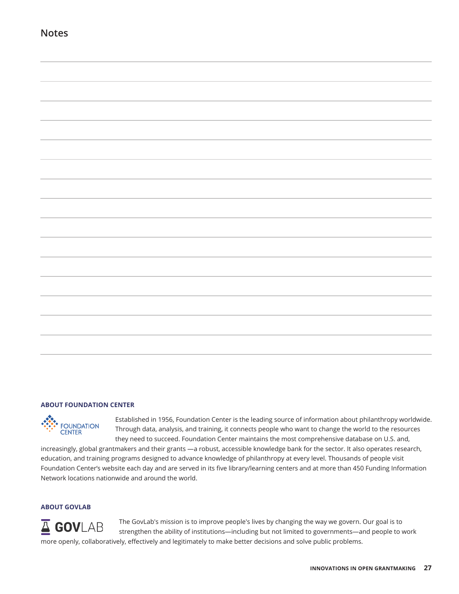### **Notes**



#### **ABOUT FOUNDATION CENTER**



Established in 1956, Foundation Center is the leading source of information about philanthropy worldwide. Through data, analysis, and training, it connects people who want to change the world to the resources they need to succeed. Foundation Center maintains the most comprehensive database on U.S. and,

increasingly, global grantmakers and their grants —a robust, accessible knowledge bank for the sector. It also operates research, education, and training programs designed to advance knowledge of philanthropy at every level. Thousands of people visit Foundation Center's website each day and are served in its five library/learning centers and at more than 450 Funding Information Network locations nationwide and around the world.

#### **ABOUT GOVLAB**



The GovLab's mission is to improve people's lives by changing the way we govern. Our goal is to strengthen the ability of institutions—including but not limited to governments—and people to work more openly, collaboratively, effectively and legitimately to make better decisions and solve public problems.